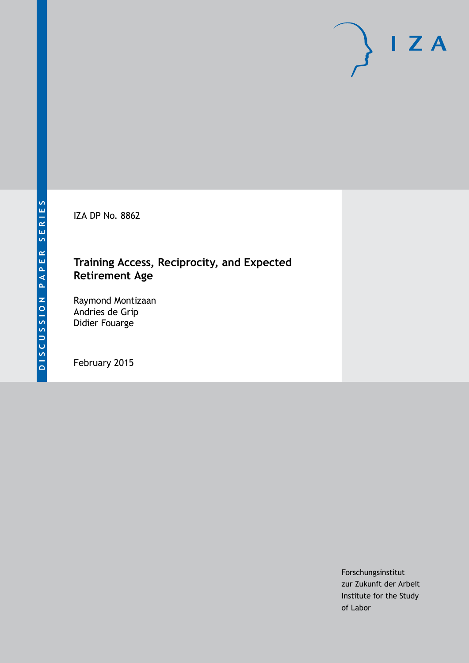IZA DP No. 8862

# **Training Access, Reciprocity, and Expected Retirement Age**

Raymond Montizaan Andries de Grip Didier Fouarge

February 2015

Forschungsinstitut zur Zukunft der Arbeit Institute for the Study of Labor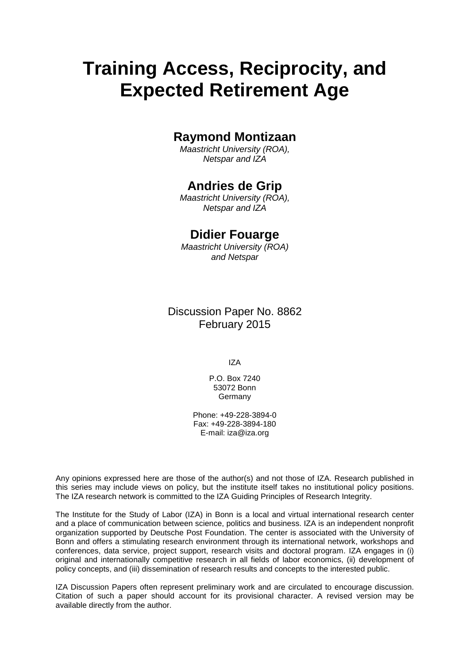# **Training Access, Reciprocity, and Expected Retirement Age**

# **Raymond Montizaan**

*Maastricht University (ROA), Netspar and IZA*

# **Andries de Grip**

*Maastricht University (ROA), Netspar and IZA*

# **Didier Fouarge**

*Maastricht University (ROA) and Netspar*

Discussion Paper No. 8862 February 2015

IZA

P.O. Box 7240 53072 Bonn Germany

Phone: +49-228-3894-0 Fax: +49-228-3894-180 E-mail: [iza@iza.org](mailto:iza@iza.org)

Any opinions expressed here are those of the author(s) and not those of IZA. Research published in this series may include views on policy, but the institute itself takes no institutional policy positions. The IZA research network is committed to the IZA Guiding Principles of Research Integrity.

The Institute for the Study of Labor (IZA) in Bonn is a local and virtual international research center and a place of communication between science, politics and business. IZA is an independent nonprofit organization supported by Deutsche Post Foundation. The center is associated with the University of Bonn and offers a stimulating research environment through its international network, workshops and conferences, data service, project support, research visits and doctoral program. IZA engages in (i) original and internationally competitive research in all fields of labor economics, (ii) development of policy concepts, and (iii) dissemination of research results and concepts to the interested public.

<span id="page-1-0"></span>IZA Discussion Papers often represent preliminary work and are circulated to encourage discussion. Citation of such a paper should account for its provisional character. A revised version may be available directly from the author.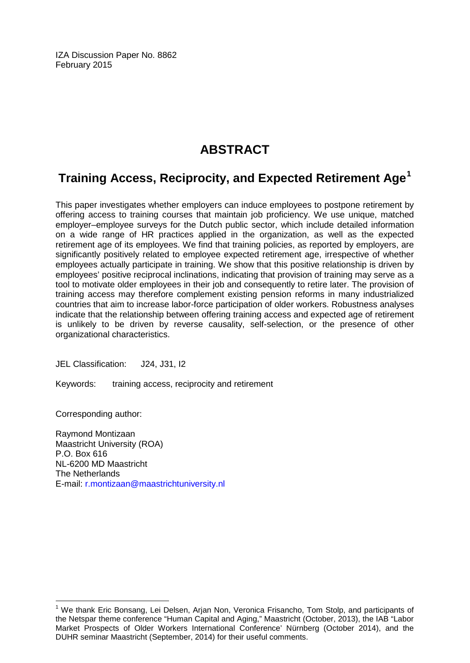IZA Discussion Paper No. 8862 February 2015

# **ABSTRACT**

# **Training Access, Reciprocity, and Expected Retirement Age[1](#page-1-0)**

This paper investigates whether employers can induce employees to postpone retirement by offering access to training courses that maintain job proficiency. We use unique, matched employer–employee surveys for the Dutch public sector, which include detailed information on a wide range of HR practices applied in the organization, as well as the expected retirement age of its employees. We find that training policies, as reported by employers, are significantly positively related to employee expected retirement age, irrespective of whether employees actually participate in training. We show that this positive relationship is driven by employees' positive reciprocal inclinations, indicating that provision of training may serve as a tool to motivate older employees in their job and consequently to retire later. The provision of training access may therefore complement existing pension reforms in many industrialized countries that aim to increase labor-force participation of older workers. Robustness analyses indicate that the relationship between offering training access and expected age of retirement is unlikely to be driven by reverse causality, self-selection, or the presence of other organizational characteristics.

JEL Classification: J24, J31, I2

Keywords: training access, reciprocity and retirement

Corresponding author:

Raymond Montizaan Maastricht University (ROA) P.O. Box 616 NL-6200 MD Maastricht The Netherlands E-mail: [r.montizaan@maastrichtuniversity.nl](mailto:r.montizaan@maastrichtuniversity.nl)

<sup>&</sup>lt;sup>1</sup> We thank Eric Bonsang, Lei Delsen, Arjan Non, Veronica Frisancho, Tom Stolp, and participants of the Netspar theme conference "Human Capital and Aging," Maastricht (October, 2013), the IAB "Labor Market Prospects of Older Workers International Conference' Nürnberg (October 2014), and the DUHR seminar Maastricht (September, 2014) for their useful comments.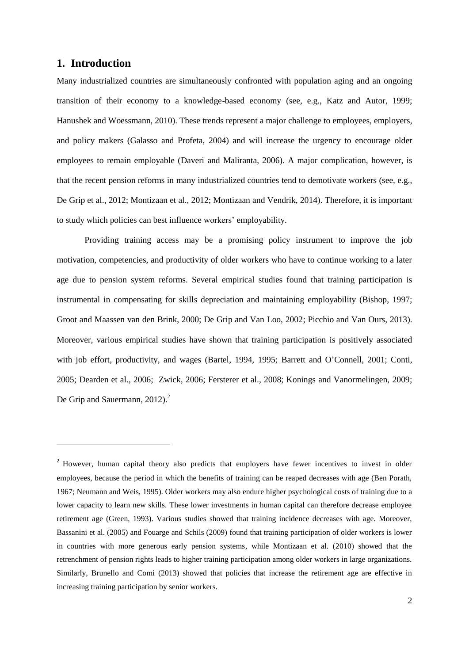### **1. Introduction**

**.** 

Many industrialized countries are simultaneously confronted with population aging and an ongoing transition of their economy to a knowledge-based economy (see, e.g., Katz and Autor, 1999; Hanushek and Woessmann, 2010). These trends represent a major challenge to employees, employers, and policy makers (Galasso and Profeta, 2004) and will increase the urgency to encourage older employees to remain employable (Daveri and Maliranta, 2006). A major complication, however, is that the recent pension reforms in many industrialized countries tend to demotivate workers (see, e.g., De Grip et al., 2012; Montizaan et al., 2012; Montizaan and Vendrik, 2014). Therefore, it is important to study which policies can best influence workers' employability.

Providing training access may be a promising policy instrument to improve the job motivation, competencies, and productivity of older workers who have to continue working to a later age due to pension system reforms. Several empirical studies found that training participation is instrumental in compensating for skills depreciation and maintaining employability (Bishop, 1997; Groot and Maassen van den Brink, 2000; De Grip and Van Loo, 2002; Picchio and Van Ours, 2013). Moreover, various empirical studies have shown that training participation is positively associated with job effort, productivity, and wages (Bartel, 1994, 1995; Barrett and O'Connell, 2001; Conti, 2005; Dearden et al., 2006; Zwick, 2006; Fersterer et al., 2008; Konings and Vanormelingen, 2009; De Grip and Sauermann, 2012).<sup>2</sup>

<sup>&</sup>lt;sup>2</sup> However, human capital theory also predicts that employers have fewer incentives to invest in older employees, because the period in which the benefits of training can be reaped decreases with age (Ben Porath, 1967; Neumann and Weis, 1995). Older workers may also endure higher psychological costs of training due to a lower capacity to learn new skills. These lower investments in human capital can therefore decrease employee retirement age (Green, 1993). Various studies showed that training incidence decreases with age. Moreover, Bassanini et al. (2005) and Fouarge and Schils (2009) found that training participation of older workers is lower in countries with more generous early pension systems, while Montizaan et al. (2010) showed that the retrenchment of pension rights leads to higher training participation among older workers in large organizations. Similarly, Brunello and Comi (2013) showed that policies that increase the retirement age are effective in increasing training participation by senior workers.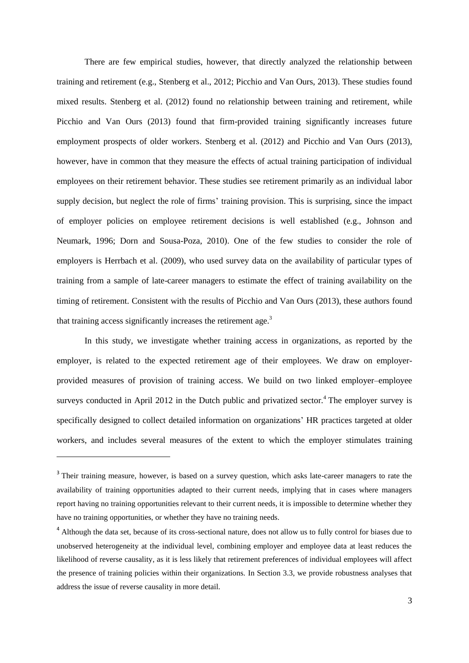There are few empirical studies, however, that directly analyzed the relationship between training and retirement (e.g., Stenberg et al., 2012; Picchio and Van Ours, 2013). These studies found mixed results. Stenberg et al. (2012) found no relationship between training and retirement, while Picchio and Van Ours (2013) found that firm-provided training significantly increases future employment prospects of older workers. Stenberg et al. (2012) and Picchio and Van Ours (2013), however, have in common that they measure the effects of actual training participation of individual employees on their retirement behavior. These studies see retirement primarily as an individual labor supply decision, but neglect the role of firms' training provision. This is surprising, since the impact of employer policies on employee retirement decisions is well established (e.g., Johnson and Neumark, 1996; Dorn and Sousa-Poza, 2010). One of the few studies to consider the role of employers is Herrbach et al. (2009), who used survey data on the availability of particular types of training from a sample of late-career managers to estimate the effect of training availability on the timing of retirement. Consistent with the results of Picchio and Van Ours (2013), these authors found that training access significantly increases the retirement age. $3$ 

In this study, we investigate whether training access in organizations, as reported by the employer, is related to the expected retirement age of their employees. We draw on employerprovided measures of provision of training access. We build on two linked employer–employee surveys conducted in April 2012 in the Dutch public and privatized sector.<sup>4</sup> The employer survey is specifically designed to collect detailed information on organizations' HR practices targeted at older workers, and includes several measures of the extent to which the employer stimulates training

1

<sup>&</sup>lt;sup>3</sup> Their training measure, however, is based on a survey question, which asks late-career managers to rate the availability of training opportunities adapted to their current needs, implying that in cases where managers report having no training opportunities relevant to their current needs, it is impossible to determine whether they have no training opportunities, or whether they have no training needs.

<sup>&</sup>lt;sup>4</sup> Although the data set, because of its cross-sectional nature, does not allow us to fully control for biases due to unobserved heterogeneity at the individual level, combining employer and employee data at least reduces the likelihood of reverse causality, as it is less likely that retirement preferences of individual employees will affect the presence of training policies within their organizations. In Section 3.3, we provide robustness analyses that address the issue of reverse causality in more detail.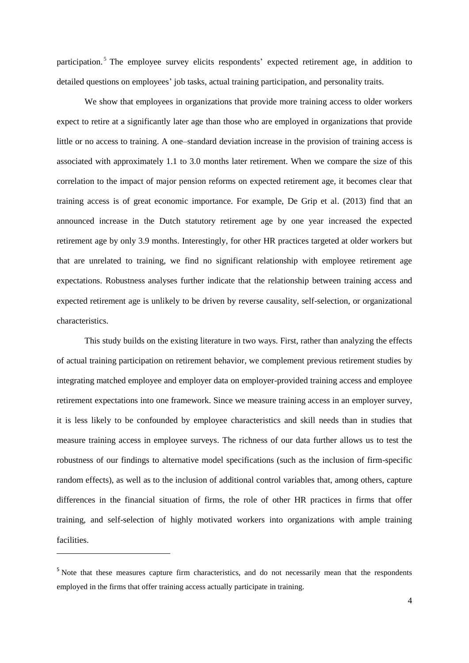participation.<sup>5</sup> The employee survey elicits respondents' expected retirement age, in addition to detailed questions on employees' job tasks, actual training participation, and personality traits.

We show that employees in organizations that provide more training access to older workers expect to retire at a significantly later age than those who are employed in organizations that provide little or no access to training. A one–standard deviation increase in the provision of training access is associated with approximately 1.1 to 3.0 months later retirement. When we compare the size of this correlation to the impact of major pension reforms on expected retirement age, it becomes clear that training access is of great economic importance. For example, De Grip et al. (2013) find that an announced increase in the Dutch statutory retirement age by one year increased the expected retirement age by only 3.9 months. Interestingly, for other HR practices targeted at older workers but that are unrelated to training, we find no significant relationship with employee retirement age expectations. Robustness analyses further indicate that the relationship between training access and expected retirement age is unlikely to be driven by reverse causality, self-selection, or organizational characteristics.

This study builds on the existing literature in two ways. First, rather than analyzing the effects of actual training participation on retirement behavior, we complement previous retirement studies by integrating matched employee and employer data on employer-provided training access and employee retirement expectations into one framework. Since we measure training access in an employer survey, it is less likely to be confounded by employee characteristics and skill needs than in studies that measure training access in employee surveys. The richness of our data further allows us to test the robustness of our findings to alternative model specifications (such as the inclusion of firm-specific random effects), as well as to the inclusion of additional control variables that, among others, capture differences in the financial situation of firms, the role of other HR practices in firms that offer training, and self-selection of highly motivated workers into organizations with ample training facilities.

<sup>&</sup>lt;sup>5</sup> Note that these measures capture firm characteristics, and do not necessarily mean that the respondents employed in the firms that offer training access actually participate in training.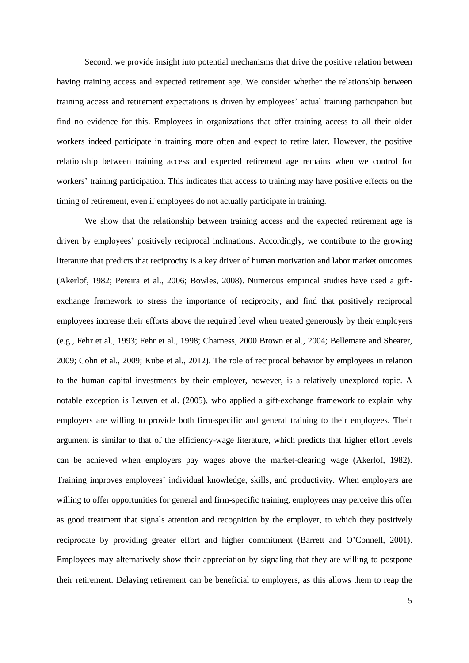Second, we provide insight into potential mechanisms that drive the positive relation between having training access and expected retirement age. We consider whether the relationship between training access and retirement expectations is driven by employees' actual training participation but find no evidence for this. Employees in organizations that offer training access to all their older workers indeed participate in training more often and expect to retire later. However, the positive relationship between training access and expected retirement age remains when we control for workers' training participation. This indicates that access to training may have positive effects on the timing of retirement, even if employees do not actually participate in training.

We show that the relationship between training access and the expected retirement age is driven by employees' positively reciprocal inclinations. Accordingly, we contribute to the growing literature that predicts that reciprocity is a key driver of human motivation and labor market outcomes (Akerlof, 1982; Pereira et al., 2006; Bowles, 2008). Numerous empirical studies have used a giftexchange framework to stress the importance of reciprocity, and find that positively reciprocal employees increase their efforts above the required level when treated generously by their employers (e.g., Fehr et al., 1993; Fehr et al., 1998; Charness, 2000 Brown et al., 2004; Bellemare and Shearer, 2009; Cohn et al., 2009; Kube et al., 2012). The role of reciprocal behavior by employees in relation to the human capital investments by their employer, however, is a relatively unexplored topic. A notable exception is Leuven et al. (2005), who applied a gift-exchange framework to explain why employers are willing to provide both firm-specific and general training to their employees. Their argument is similar to that of the efficiency-wage literature, which predicts that higher effort levels can be achieved when employers pay wages above the market-clearing wage (Akerlof, 1982). Training improves employees' individual knowledge, skills, and productivity. When employers are willing to offer opportunities for general and firm-specific training, employees may perceive this offer as good treatment that signals attention and recognition by the employer, to which they positively reciprocate by providing greater effort and higher commitment (Barrett and O'Connell, 2001). Employees may alternatively show their appreciation by signaling that they are willing to postpone their retirement. Delaying retirement can be beneficial to employers, as this allows them to reap the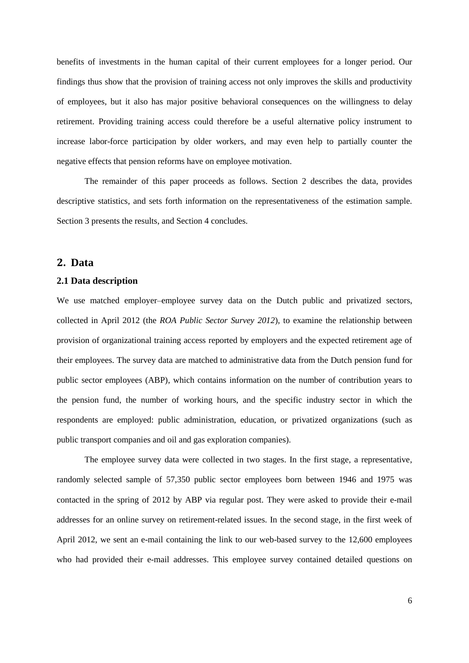benefits of investments in the human capital of their current employees for a longer period. Our findings thus show that the provision of training access not only improves the skills and productivity of employees, but it also has major positive behavioral consequences on the willingness to delay retirement. Providing training access could therefore be a useful alternative policy instrument to increase labor-force participation by older workers, and may even help to partially counter the negative effects that pension reforms have on employee motivation.

The remainder of this paper proceeds as follows. Section 2 describes the data, provides descriptive statistics, and sets forth information on the representativeness of the estimation sample. Section 3 presents the results, and Section 4 concludes.

### **2. Data**

#### **2.1 Data description**

We use matched employer–employee survey data on the Dutch public and privatized sectors, collected in April 2012 (the *ROA Public Sector Survey 2012*), to examine the relationship between provision of organizational training access reported by employers and the expected retirement age of their employees. The survey data are matched to administrative data from the Dutch pension fund for public sector employees (ABP), which contains information on the number of contribution years to the pension fund, the number of working hours, and the specific industry sector in which the respondents are employed: public administration, education, or privatized organizations (such as public transport companies and oil and gas exploration companies).

The employee survey data were collected in two stages. In the first stage, a representative, randomly selected sample of 57,350 public sector employees born between 1946 and 1975 was contacted in the spring of 2012 by ABP via regular post. They were asked to provide their e-mail addresses for an online survey on retirement-related issues. In the second stage, in the first week of April 2012, we sent an e-mail containing the link to our web-based survey to the 12,600 employees who had provided their e-mail addresses. This employee survey contained detailed questions on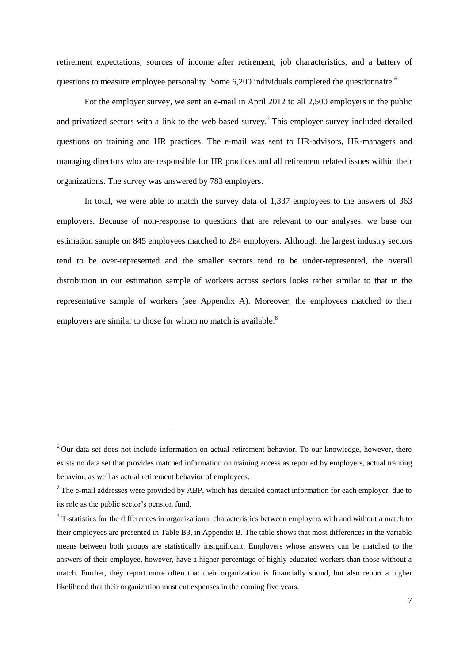retirement expectations, sources of income after retirement, job characteristics, and a battery of questions to measure employee personality. Some 6,200 individuals completed the questionnaire.<sup>6</sup>

For the employer survey, we sent an e-mail in April 2012 to all 2,500 employers in the public and privatized sectors with a link to the web-based survey.<sup>7</sup> This employer survey included detailed questions on training and HR practices. The e-mail was sent to HR-advisors, HR-managers and managing directors who are responsible for HR practices and all retirement related issues within their organizations. The survey was answered by 783 employers.

In total, we were able to match the survey data of 1,337 employees to the answers of 363 employers. Because of non-response to questions that are relevant to our analyses, we base our estimation sample on 845 employees matched to 284 employers. Although the largest industry sectors tend to be over-represented and the smaller sectors tend to be under-represented, the overall distribution in our estimation sample of workers across sectors looks rather similar to that in the representative sample of workers (see Appendix A). Moreover, the employees matched to their employers are similar to those for whom no match is available.<sup>8</sup>

<sup>&</sup>lt;sup>6</sup> Our data set does not include information on actual retirement behavior. To our knowledge, however, there exists no data set that provides matched information on training access as reported by employers, actual training behavior, as well as actual retirement behavior of employees.

The e-mail addresses were provided by ABP, which has detailed contact information for each employer, due to its role as the public sector's pension fund.

 $8$  T-statistics for the differences in organizational characteristics between employers with and without a match to their employees are presented in Table B3, in Appendix B. The table shows that most differences in the variable means between both groups are statistically insignificant. Employers whose answers can be matched to the answers of their employee, however, have a higher percentage of highly educated workers than those without a match. Further, they report more often that their organization is financially sound, but also report a higher likelihood that their organization must cut expenses in the coming five years.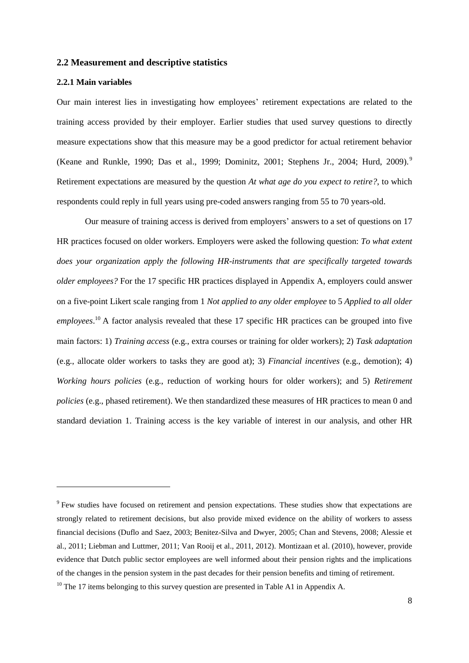#### **2.2 Measurement and descriptive statistics**

#### **2.2.1 Main variables**

**.** 

Our main interest lies in investigating how employees' retirement expectations are related to the training access provided by their employer. Earlier studies that used survey questions to directly measure expectations show that this measure may be a good predictor for actual retirement behavior (Keane and Runkle, 1990; Das et al., 1999; Dominitz, 2001; Stephens Jr., 2004; Hurd, 2009).<sup>9</sup> Retirement expectations are measured by the question *At what age do you expect to retire?*, to which respondents could reply in full years using pre-coded answers ranging from 55 to 70 years-old.

Our measure of training access is derived from employers' answers to a set of questions on 17 HR practices focused on older workers. Employers were asked the following question: *To what extent does your organization apply the following HR-instruments that are specifically targeted towards older employees?* For the 17 specific HR practices displayed in Appendix A, employers could answer on a five-point Likert scale ranging from 1 *Not applied to any older employee* to 5 *Applied to all older*  employees.<sup>10</sup> A factor analysis revealed that these 17 specific HR practices can be grouped into five main factors: 1) *Training access* (e.g., extra courses or training for older workers); 2) *Task adaptation* (e.g., allocate older workers to tasks they are good at); 3) *Financial incentives* (e.g., demotion); 4) *Working hours policies* (e.g., reduction of working hours for older workers); and 5) *Retirement policies* (e.g., phased retirement). We then standardized these measures of HR practices to mean 0 and standard deviation 1. Training access is the key variable of interest in our analysis, and other HR

<sup>&</sup>lt;sup>9</sup> Few studies have focused on retirement and pension expectations. These studies show that expectations are strongly related to retirement decisions, but also provide mixed evidence on the ability of workers to assess financial decisions (Duflo and Saez, 2003; Benitez-Silva and Dwyer, 2005; Chan and Stevens, 2008; Alessie et al., 2011; Liebman and Luttmer, 2011; Van Rooij et al., 2011, 2012). Montizaan et al. (2010), however, provide evidence that Dutch public sector employees are well informed about their pension rights and the implications of the changes in the pension system in the past decades for their pension benefits and timing of retirement.

<sup>&</sup>lt;sup>10</sup> The 17 items belonging to this survey question are presented in Table A1 in Appendix A.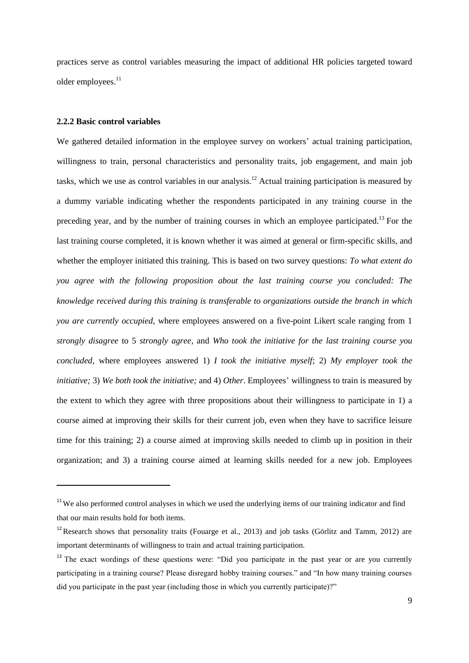practices serve as control variables measuring the impact of additional HR policies targeted toward older employees.<sup>11</sup>

#### **2.2.2 Basic control variables**

**.** 

We gathered detailed information in the employee survey on workers' actual training participation, willingness to train, personal characteristics and personality traits, job engagement, and main job tasks, which we use as control variables in our analysis.<sup>12</sup> Actual training participation is measured by a dummy variable indicating whether the respondents participated in any training course in the preceding year, and by the number of training courses in which an employee participated.<sup>13</sup> For the last training course completed, it is known whether it was aimed at general or firm-specific skills, and whether the employer initiated this training. This is based on two survey questions: *To what extent do you agree with the following proposition about the last training course you concluded: The knowledge received during this training is transferable to organizations outside the branch in which you are currently occupied*, where employees answered on a five-point Likert scale ranging from 1 *strongly disagree* to 5 *strongly agree*, and *Who took the initiative for the last training course you concluded*, where employees answered 1) *I took the initiative myself*; 2) *My employer took the initiative;* 3) *We both took the initiative;* and 4) *Other*. Employees' willingness to train is measured by the extent to which they agree with three propositions about their willingness to participate in 1) a course aimed at improving their skills for their current job, even when they have to sacrifice leisure time for this training; 2) a course aimed at improving skills needed to climb up in position in their organization; and 3) a training course aimed at learning skills needed for a new job. Employees

<sup>&</sup>lt;sup>11</sup>We also performed control analyses in which we used the underlying items of our training indicator and find that our main results hold for both items.

<sup>&</sup>lt;sup>12</sup>Research shows that personality traits (Fouarge et al., 2013) and job tasks (Görlitz and Tamm, 2012) are important determinants of willingness to train and actual training participation.

<sup>&</sup>lt;sup>13</sup> The exact wordings of these questions were: "Did you participate in the past year or are you currently participating in a training course? Please disregard hobby training courses." and "In how many training courses did you participate in the past year (including those in which you currently participate)?"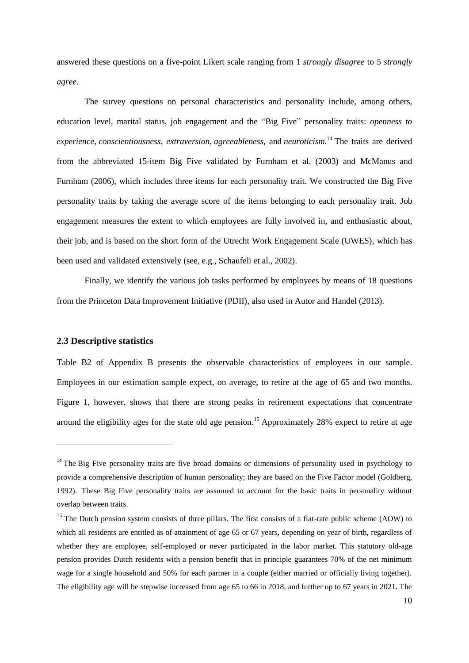answered these questions on a five-point Likert scale ranging from 1 *strongly disagree* to 5 *strongly agree*.

The survey questions on personal characteristics and personality include, among others, education level, marital status, job engagement and the "Big Five" personality traits: *openness to experience*, *[conscientiousness](http://en.wikipedia.org/wiki/Conscientiousness)*, *[extraversion](http://en.wikipedia.org/wiki/Extraversion_and_introversion)*, *agreeableness*, and *neuroticism.* <sup>14</sup> The traits are derived from the abbreviated 15-item Big Five validated by Furnham et al. (2003) and McManus and Furnham (2006), which includes three items for each personality trait. We constructed the Big Five personality traits by taking the average score of the items belonging to each personality trait. Job engagement measures the extent to which employees are fully involved in, and enthusiastic about, their job, and is based on the short form of the Utrecht Work Engagement Scale (UWES), which has been used and validated extensively (see, e.g., Schaufeli et al., 2002).

Finally, we identify the various job tasks performed by employees by means of 18 questions from the Princeton Data Improvement Initiative (PDII), also used in Autor and Handel (2013).

#### **2.3 Descriptive statistics**

**.** 

Table B2 of Appendix B presents the observable characteristics of employees in our sample. Employees in our estimation sample expect, on average, to retire at the age of 65 and two months. Figure 1, however, shows that there are strong peaks in retirement expectations that concentrate around the eligibility ages for the state old age pension.<sup>15</sup> Approximately 28% expect to retire at age

<sup>&</sup>lt;sup>14</sup> The Big Five [personality](http://en.wikipedia.org/wiki/Personality_psychology) traits are five broad domains or dimensions of personality used in psychology to provide a comprehensive description of human personality; they are based on the Five Factor model (Goldberg, 1992). These Big Five personality traits are assumed to account for the basic traits in personality without overlap between traits.

<sup>&</sup>lt;sup>15</sup> The Dutch pension system consists of three pillars. The first consists of a flat-rate public scheme (AOW) to which all residents are entitled as of attainment of age 65 or 67 years, depending on year of birth, regardless of whether they are employee, self-employed or never participated in the labor market. This statutory old-age pension provides Dutch residents with a pension benefit that in principle guarantees 70% of the net minimum wage for a single household and 50% for each partner in a couple (either married or officially living together). The eligibility age will be stepwise increased from age 65 to 66 in 2018, and further up to 67 years in 2021. The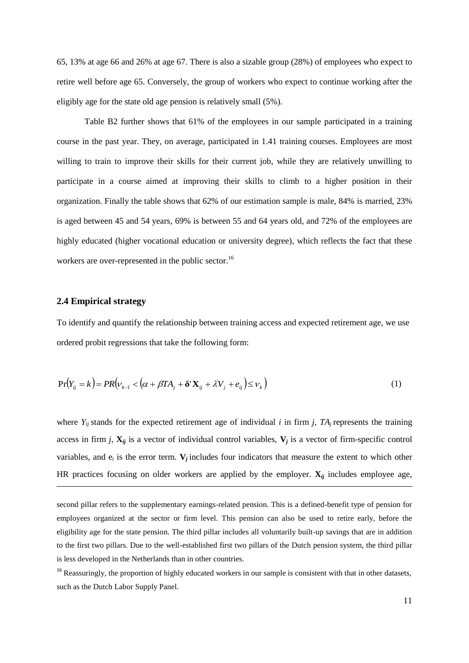65, 13% at age 66 and 26% at age 67. There is also a sizable group (28%) of employees who expect to retire well before age 65. Conversely, the group of workers who expect to continue working after the eligibly age for the state old age pension is relatively small (5%).

Table B2 further shows that 61% of the employees in our sample participated in a training course in the past year. They, on average, participated in 1.41 training courses. Employees are most willing to train to improve their skills for their current job, while they are relatively unwilling to participate in a course aimed at improving their skills to climb to a higher position in their organization. Finally the table shows that 62% of our estimation sample is male, 84% is married, 23% is aged between 45 and 54 years, 69% is between 55 and 64 years old, and 72% of the employees are highly educated (higher vocational education or university degree), which reflects the fact that these workers are over-represented in the public sector.<sup>16</sup>

#### **2.4 Empirical strategy**

**.** 

To identify and quantify the relationship between training access and expected retirement age, we use ordered probit regressions that take the following form:

$$
Pr(Y_{ij} = k) = PR(v_{k-1} < (\alpha + \beta TA_j + \delta' \mathbf{X}_{ij} + \lambda V_j + e_{ij}) \leq v_k)
$$
\n<sup>(1)</sup>

where  $Y_{ij}$  stands for the expected retirement age of individual *i* in firm *j*,  $TA_j$  represents the training access in firm *j*,  $X_{ij}$  is a vector of individual control variables,  $V_j$  is a vector of firm-specific control variables, and  $e_i$  is the error term.  $V_j$  includes four indicators that measure the extent to which other HR practices focusing on older workers are applied by the employer.  $\mathbf{X}_{ij}$  includes employee age,

second pillar refers to the supplementary earnings-related pension. This is a defined-benefit type of pension for employees organized at the sector or firm level. This pension can also be used to retire early, before the eligibility age for the state pension. The third pillar includes all voluntarily built-up savings that are in addition to the first two pillars. Due to the well-established first two pillars of the Dutch pension system, the third pillar is less developed in the Netherlands than in other countries.

 $16$  Reassuringly, the proportion of highly educated workers in our sample is consistent with that in other datasets, such as the Dutch Labor Supply Panel.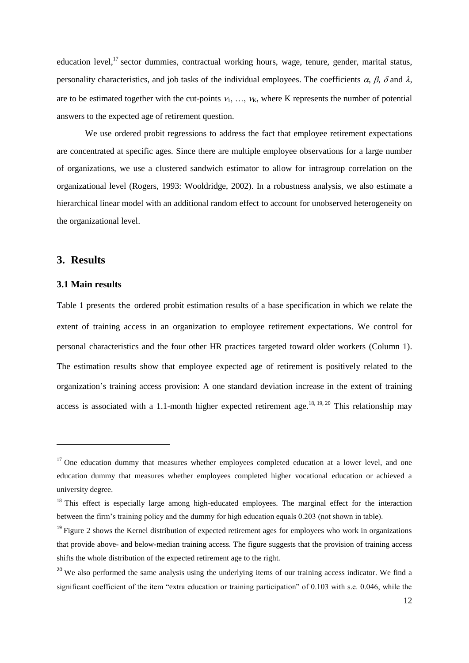education level,<sup>17</sup> sector dummies, contractual working hours, wage, tenure, gender, marital status, personality characteristics, and job tasks of the individual employees. The coefficients  $\alpha$ ,  $\beta$ ,  $\delta$  and  $\lambda$ , are to be estimated together with the cut-points  $v_1, \ldots, v_K$ , where K represents the number of potential answers to the expected age of retirement question.

We use ordered probit regressions to address the fact that employee retirement expectations are concentrated at specific ages. Since there are multiple employee observations for a large number of organizations, we use a clustered sandwich estimator to allow for intragroup correlation on the organizational level (Rogers, 1993: Wooldridge, 2002). In a robustness analysis, we also estimate a hierarchical linear model with an additional random effect to account for unobserved heterogeneity on the organizational level.

#### **3. Results**

**.** 

#### **3.1 Main results**

Table 1 presents the ordered probit estimation results of a base specification in which we relate the extent of training access in an organization to employee retirement expectations. We control for personal characteristics and the four other HR practices targeted toward older workers (Column 1). The estimation results show that employee expected age of retirement is positively related to the organization's training access provision: A one standard deviation increase in the extent of training access is associated with a 1.1-month higher expected retirement age.<sup>18, 19, 20</sup> This relationship may

<sup>&</sup>lt;sup>17</sup> One education dummy that measures whether employees completed education at a lower level, and one education dummy that measures whether employees completed higher vocational education or achieved a university degree.

<sup>&</sup>lt;sup>18</sup> This effect is especially large among high-educated employees. The marginal effect for the interaction between the firm's training policy and the dummy for high education equals 0.203 (not shown in table).

 $19$  Figure 2 shows the Kernel distribution of expected retirement ages for employees who work in organizations that provide above- and below-median training access. The figure suggests that the provision of training access shifts the whole distribution of the expected retirement age to the right.

<sup>&</sup>lt;sup>20</sup> We also performed the same analysis using the underlying items of our training access indicator. We find a significant coefficient of the item "extra education or training participation" of 0.103 with s.e. 0.046, while the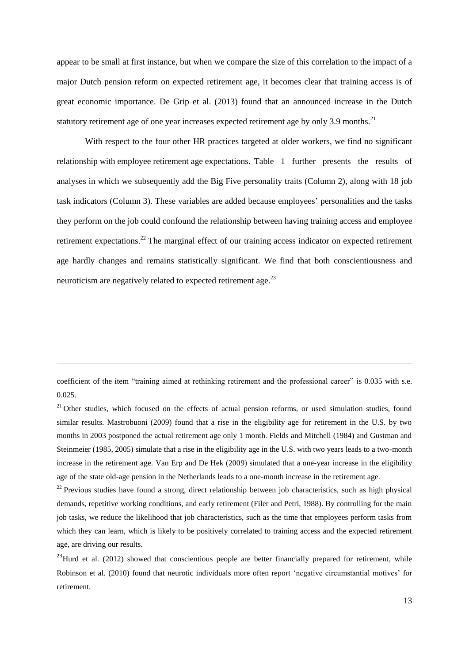appear to be small at first instance, but when we compare the size of this correlation to the impact of a major Dutch pension reform on expected retirement age, it becomes clear that training access is of great economic importance. De Grip et al. (2013) found that an announced increase in the Dutch statutory retirement age of one year increases expected retirement age by only 3.9 months.<sup>21</sup>

With respect to the four other HR practices targeted at older workers, we find no significant relationship with employee retirement age expectations. Table 1 further presents the results of analyses in which we subsequently add the Big Five personality traits (Column 2), along with 18 job task indicators (Column 3). These variables are added because employees' personalities and the tasks they perform on the job could confound the relationship between having training access and employee retirement expectations.<sup>22</sup> The marginal effect of our training access indicator on expected retirement age hardly changes and remains statistically significant. We find that both conscientiousness and neuroticism are negatively related to expected retirement age.<sup>23</sup>

1

coefficient of the item "training aimed at rethinking retirement and the professional career" is 0.035 with s.e. 0.025.

<sup>&</sup>lt;sup>21</sup> Other studies, which focused on the effects of actual pension reforms, or used simulation studies, found similar results. Mastrobuoni (2009) found that a rise in the eligibility age for retirement in the U.S. by two months in 2003 postponed the actual retirement age only 1 month. Fields and Mitchell (1984) and Gustman and Steinmeier (1985, 2005) simulate that a rise in the eligibility age in the U.S. with two years leads to a two-month increase in the retirement age. Van Erp and De Hek (2009) simulated that a one-year increase in the eligibility age of the state old-age pension in the Netherlands leads to a one-month increase in the retirement age.

<sup>&</sup>lt;sup>22</sup> Previous studies have found a strong, direct relationship between job characteristics, such as high physical demands, repetitive working conditions, and early retirement (Filer and Petri, 1988). By controlling for the main job tasks, we reduce the likelihood that job characteristics, such as the time that employees perform tasks from which they can learn, which is likely to be positively correlated to training access and the expected retirement age, are driving our results.

<sup>&</sup>lt;sup>23</sup>Hurd et al. (2012) showed that conscientious people are better financially prepared for retirement, while Robinson et al. (2010) found that neurotic individuals more often report 'negative circumstantial motives' for retirement.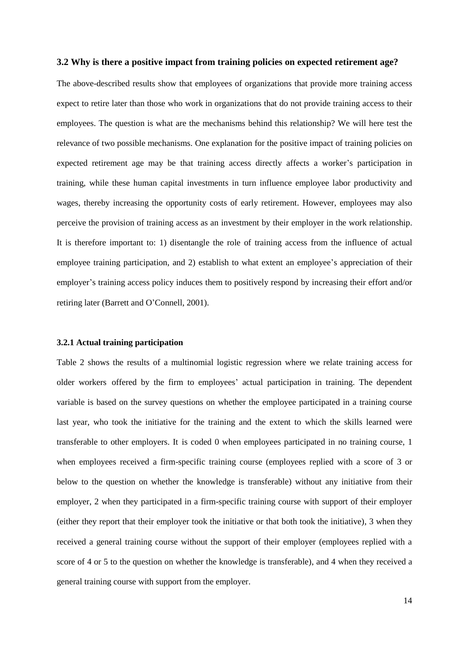#### **3.2 Why is there a positive impact from training policies on expected retirement age?**

The above-described results show that employees of organizations that provide more training access expect to retire later than those who work in organizations that do not provide training access to their employees. The question is what are the mechanisms behind this relationship? We will here test the relevance of two possible mechanisms. One explanation for the positive impact of training policies on expected retirement age may be that training access directly affects a worker's participation in training, while these human capital investments in turn influence employee labor productivity and wages, thereby increasing the opportunity costs of early retirement. However, employees may also perceive the provision of training access as an investment by their employer in the work relationship. It is therefore important to: 1) disentangle the role of training access from the influence of actual employee training participation, and 2) establish to what extent an employee's appreciation of their employer's training access policy induces them to positively respond by increasing their effort and/or retiring later (Barrett and O'Connell, 2001).

#### **3.2.1 Actual training participation**

Table 2 shows the results of a multinomial logistic regression where we relate training access for older workers offered by the firm to employees' actual participation in training. The dependent variable is based on the survey questions on whether the employee participated in a training course last year, who took the initiative for the training and the extent to which the skills learned were transferable to other employers. It is coded 0 when employees participated in no training course, 1 when employees received a firm-specific training course (employees replied with a score of 3 or below to the question on whether the knowledge is transferable) without any initiative from their employer, 2 when they participated in a firm-specific training course with support of their employer (either they report that their employer took the initiative or that both took the initiative), 3 when they received a general training course without the support of their employer (employees replied with a score of 4 or 5 to the question on whether the knowledge is transferable), and 4 when they received a general training course with support from the employer.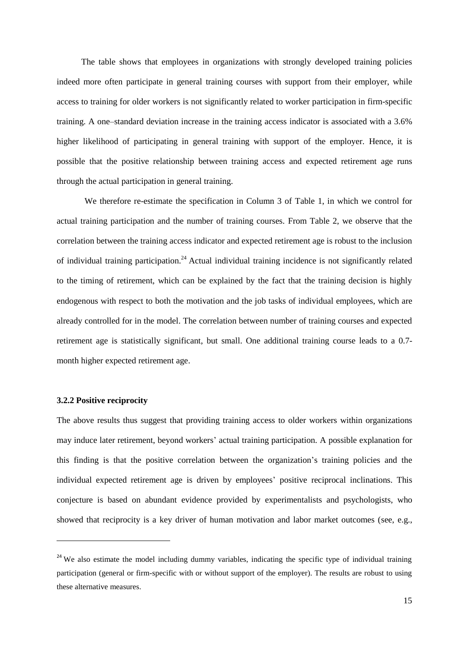The table shows that employees in organizations with strongly developed training policies indeed more often participate in general training courses with support from their employer, while access to training for older workers is not significantly related to worker participation in firm-specific training. A one–standard deviation increase in the training access indicator is associated with a 3.6% higher likelihood of participating in general training with support of the employer. Hence, it is possible that the positive relationship between training access and expected retirement age runs through the actual participation in general training.

We therefore re-estimate the specification in Column 3 of Table 1, in which we control for actual training participation and the number of training courses. From Table 2, we observe that the correlation between the training access indicator and expected retirement age is robust to the inclusion of individual training participation.<sup>24</sup> Actual individual training incidence is not significantly related to the timing of retirement, which can be explained by the fact that the training decision is highly endogenous with respect to both the motivation and the job tasks of individual employees, which are already controlled for in the model. The correlation between number of training courses and expected retirement age is statistically significant, but small. One additional training course leads to a 0.7 month higher expected retirement age.

#### **3.2.2 Positive reciprocity**

**.** 

The above results thus suggest that providing training access to older workers within organizations may induce later retirement, beyond workers' actual training participation. A possible explanation for this finding is that the positive correlation between the organization's training policies and the individual expected retirement age is driven by employees' positive reciprocal inclinations. This conjecture is based on abundant evidence provided by experimentalists and psychologists, who showed that reciprocity is a key driver of human motivation and labor market outcomes (see, e.g.,

<sup>&</sup>lt;sup>24</sup> We also estimate the model including dummy variables, indicating the specific type of individual training participation (general or firm-specific with or without support of the employer). The results are robust to using these alternative measures.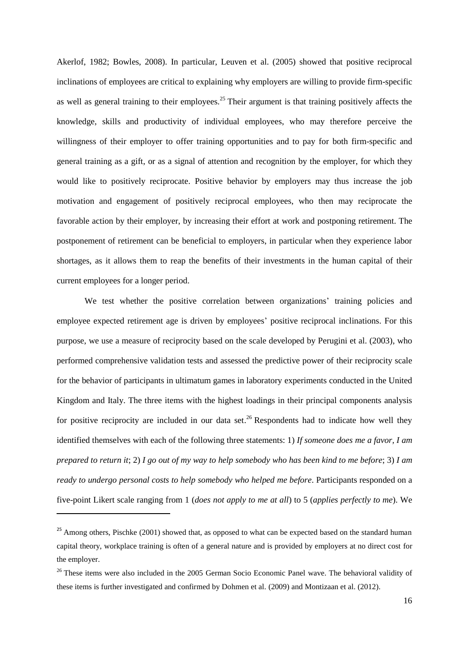Akerlof, 1982; Bowles, 2008). In particular, Leuven et al. (2005) showed that positive reciprocal inclinations of employees are critical to explaining why employers are willing to provide firm-specific as well as general training to their employees.<sup>25</sup> Their argument is that training positively affects the knowledge, skills and productivity of individual employees, who may therefore perceive the willingness of their employer to offer training opportunities and to pay for both firm-specific and general training as a gift, or as a signal of attention and recognition by the employer, for which they would like to positively reciprocate. Positive behavior by employers may thus increase the job motivation and engagement of positively reciprocal employees, who then may reciprocate the favorable action by their employer, by increasing their effort at work and postponing retirement. The postponement of retirement can be beneficial to employers, in particular when they experience labor shortages, as it allows them to reap the benefits of their investments in the human capital of their current employees for a longer period.

We test whether the positive correlation between organizations' training policies and employee expected retirement age is driven by employees' positive reciprocal inclinations. For this purpose, we use a measure of reciprocity based on the scale developed by Perugini et al. (2003), who performed comprehensive validation tests and assessed the predictive power of their reciprocity scale for the behavior of participants in ultimatum games in laboratory experiments conducted in the United Kingdom and Italy. The three items with the highest loadings in their principal components analysis for positive reciprocity are included in our data set.<sup>26</sup> Respondents had to indicate how well they identified themselves with each of the following three statements: 1) *If someone does me a favor, I am prepared to return it*; 2) *I go out of my way to help somebody who has been kind to me before*; 3) *I am ready to undergo personal costs to help somebody who helped me before*. Participants responded on a five-point Likert scale ranging from 1 (*does not apply to me at all*) to 5 (*applies perfectly to me*). We

<sup>&</sup>lt;sup>25</sup> Among others, Pischke (2001) showed that, as opposed to what can be expected based on the standard human capital theory, workplace training is often of a general nature and is provided by employers at no direct cost for the employer.

<sup>&</sup>lt;sup>26</sup> These items were also included in the 2005 German Socio Economic Panel wave. The behavioral validity of these items is further investigated and confirmed by Dohmen et al. (2009) and Montizaan et al. (2012).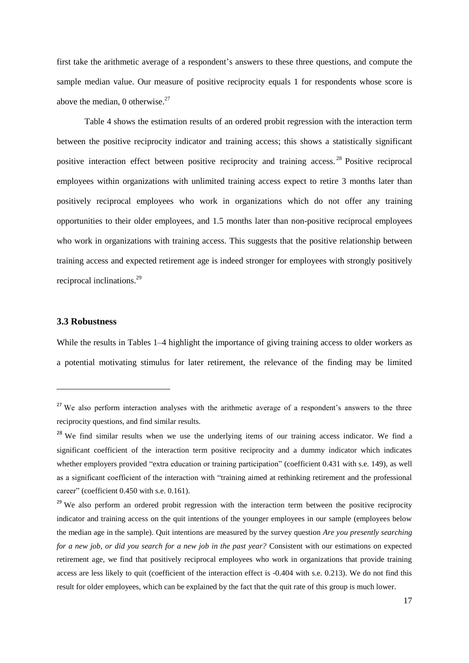first take the arithmetic average of a respondent's answers to these three questions, and compute the sample median value. Our measure of positive reciprocity equals 1 for respondents whose score is above the median, 0 otherwise. $27$ 

Table 4 shows the estimation results of an ordered probit regression with the interaction term between the positive reciprocity indicator and training access; this shows a statistically significant positive interaction effect between positive reciprocity and training access.<sup>28</sup> Positive reciprocal employees within organizations with unlimited training access expect to retire 3 months later than positively reciprocal employees who work in organizations which do not offer any training opportunities to their older employees, and 1.5 months later than non-positive reciprocal employees who work in organizations with training access. This suggests that the positive relationship between training access and expected retirement age is indeed stronger for employees with strongly positively reciprocal inclinations.<sup>29</sup>

#### **3.3 Robustness**

**.** 

While the results in Tables 1–4 highlight the importance of giving training access to older workers as a potential motivating stimulus for later retirement, the relevance of the finding may be limited

<sup>&</sup>lt;sup>27</sup> We also perform interaction analyses with the arithmetic average of a respondent's answers to the three reciprocity questions, and find similar results.

<sup>&</sup>lt;sup>28</sup> We find similar results when we use the underlying items of our training access indicator. We find a significant coefficient of the interaction term positive reciprocity and a dummy indicator which indicates whether employers provided "extra education or training participation" (coefficient 0.431 with s.e. 149), as well as a significant coefficient of the interaction with "training aimed at rethinking retirement and the professional career" (coefficient 0.450 with s.e. 0.161).

<sup>&</sup>lt;sup>29</sup> We also perform an ordered probit regression with the interaction term between the positive reciprocity indicator and training access on the quit intentions of the younger employees in our sample (employees below the median age in the sample). Quit intentions are measured by the survey question *Are you presently searching for a new job, or did you search for a new job in the past year?* Consistent with our estimations on expected retirement age, we find that positively reciprocal employees who work in organizations that provide training access are less likely to quit (coefficient of the interaction effect is -0.404 with s.e. 0.213). We do not find this result for older employees, which can be explained by the fact that the quit rate of this group is much lower.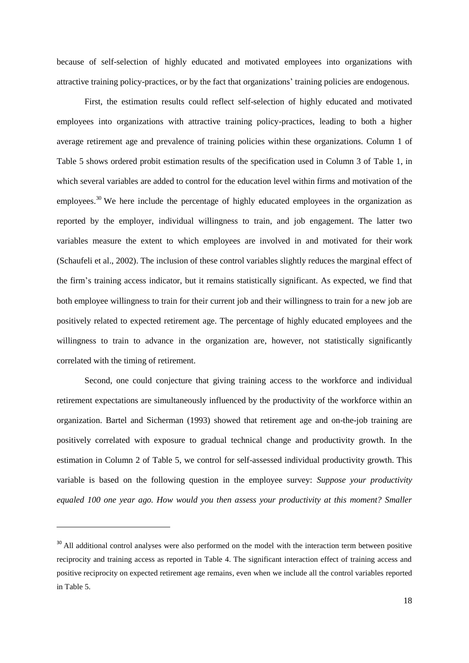because of self-selection of highly educated and motivated employees into organizations with attractive training policy-practices, or by the fact that organizations' training policies are endogenous.

First, the estimation results could reflect self-selection of highly educated and motivated employees into organizations with attractive training policy-practices, leading to both a higher average retirement age and prevalence of training policies within these organizations. Column 1 of Table 5 shows ordered probit estimation results of the specification used in Column 3 of Table 1, in which several variables are added to control for the education level within firms and motivation of the employees.<sup>30</sup> We here include the percentage of highly educated employees in the organization as reported by the employer, individual willingness to train, and job engagement. The latter two variables measure the extent to which employees are involved in and motivated for their work (Schaufeli et al., 2002). The inclusion of these control variables slightly reduces the marginal effect of the firm's training access indicator, but it remains statistically significant. As expected, we find that both employee willingness to train for their current job and their willingness to train for a new job are positively related to expected retirement age. The percentage of highly educated employees and the willingness to train to advance in the organization are, however, not statistically significantly correlated with the timing of retirement.

Second, one could conjecture that giving training access to the workforce and individual retirement expectations are simultaneously influenced by the productivity of the workforce within an organization. Bartel and Sicherman (1993) showed that retirement age and on-the-job training are positively correlated with exposure to gradual technical change and productivity growth. In the estimation in Column 2 of Table 5, we control for self-assessed individual productivity growth. This variable is based on the following question in the employee survey: *Suppose your productivity equaled 100 one year ago. How would you then assess your productivity at this moment? Smaller* 

<sup>&</sup>lt;sup>30</sup> All additional control analyses were also performed on the model with the interaction term between positive reciprocity and training access as reported in Table 4. The significant interaction effect of training access and positive reciprocity on expected retirement age remains, even when we include all the control variables reported in Table 5.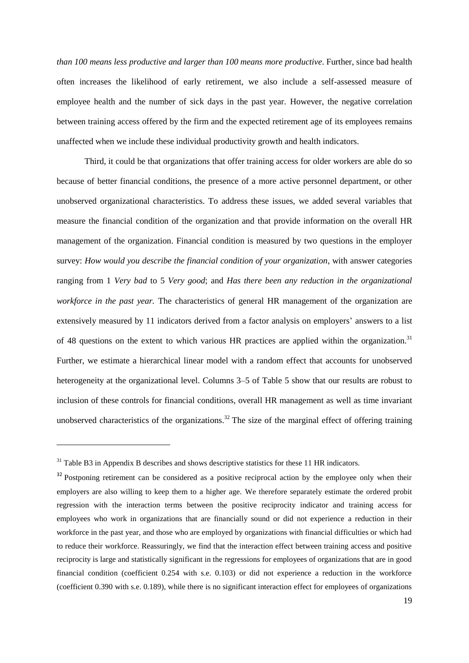*than 100 means less productive and larger than 100 means more productive*. Further, since bad health often increases the likelihood of early retirement, we also include a self-assessed measure of employee health and the number of sick days in the past year. However, the negative correlation between training access offered by the firm and the expected retirement age of its employees remains unaffected when we include these individual productivity growth and health indicators.

Third, it could be that organizations that offer training access for older workers are able do so because of better financial conditions, the presence of a more active personnel department, or other unobserved organizational characteristics. To address these issues, we added several variables that measure the financial condition of the organization and that provide information on the overall HR management of the organization. Financial condition is measured by two questions in the employer survey: *How would you describe the financial condition of your organization*, with answer categories ranging from 1 *Very bad* to 5 *Very good*; and *Has there been any reduction in the organizational workforce in the past year.* The characteristics of general HR management of the organization are extensively measured by 11 indicators derived from a factor analysis on employers' answers to a list of 48 questions on the extent to which various HR practices are applied within the organization.<sup>31</sup> Further, we estimate a hierarchical linear model with a random effect that accounts for unobserved heterogeneity at the organizational level. Columns 3–5 of Table 5 show that our results are robust to inclusion of these controls for financial conditions, overall HR management as well as time invariant unobserved characteristics of the organizations.<sup>32</sup> The size of the marginal effect of offering training

<sup>&</sup>lt;sup>31</sup> Table B3 in Appendix B describes and shows descriptive statistics for these 11 HR indicators.

<sup>&</sup>lt;sup>32</sup> Postponing retirement can be considered as a positive reciprocal action by the employee only when their employers are also willing to keep them to a higher age. We therefore separately estimate the ordered probit regression with the interaction terms between the positive reciprocity indicator and training access for employees who work in organizations that are financially sound or did not experience a reduction in their workforce in the past year, and those who are employed by organizations with financial difficulties or which had to reduce their workforce. Reassuringly, we find that the interaction effect between training access and positive reciprocity is large and statistically significant in the regressions for employees of organizations that are in good financial condition (coefficient 0.254 with s.e. 0.103) or did not experience a reduction in the workforce (coefficient 0.390 with s.e. 0.189), while there is no significant interaction effect for employees of organizations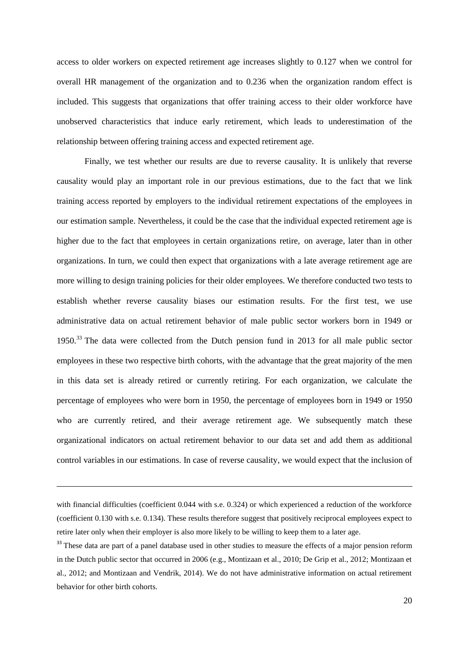access to older workers on expected retirement age increases slightly to 0.127 when we control for overall HR management of the organization and to 0.236 when the organization random effect is included. This suggests that organizations that offer training access to their older workforce have unobserved characteristics that induce early retirement, which leads to underestimation of the relationship between offering training access and expected retirement age.

Finally, we test whether our results are due to reverse causality. It is unlikely that reverse causality would play an important role in our previous estimations, due to the fact that we link training access reported by employers to the individual retirement expectations of the employees in our estimation sample. Nevertheless, it could be the case that the individual expected retirement age is higher due to the fact that employees in certain organizations retire, on average, later than in other organizations. In turn, we could then expect that organizations with a late average retirement age are more willing to design training policies for their older employees. We therefore conducted two tests to establish whether reverse causality biases our estimation results. For the first test, we use administrative data on actual retirement behavior of male public sector workers born in 1949 or 1950.<sup>33</sup> The data were collected from the Dutch pension fund in 2013 for all male public sector employees in these two respective birth cohorts, with the advantage that the great majority of the men in this data set is already retired or currently retiring. For each organization, we calculate the percentage of employees who were born in 1950, the percentage of employees born in 1949 or 1950 who are currently retired, and their average retirement age. We subsequently match these organizational indicators on actual retirement behavior to our data set and add them as additional control variables in our estimations. In case of reverse causality, we would expect that the inclusion of

with financial difficulties (coefficient 0.044 with s.e. 0.324) or which experienced a reduction of the workforce (coefficient 0.130 with s.e. 0.134). These results therefore suggest that positively reciprocal employees expect to retire later only when their employer is also more likely to be willing to keep them to a later age.

<sup>&</sup>lt;sup>33</sup> These data are part of a panel database used in other studies to measure the effects of a major pension reform in the Dutch public sector that occurred in 2006 (e.g., Montizaan et al., 2010; De Grip et al., 2012; Montizaan et al., 2012; and Montizaan and Vendrik, 2014). We do not have administrative information on actual retirement behavior for other birth cohorts.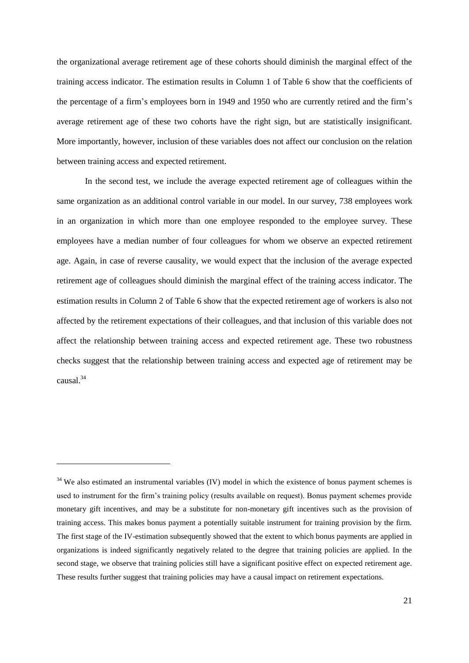the organizational average retirement age of these cohorts should diminish the marginal effect of the training access indicator. The estimation results in Column 1 of Table 6 show that the coefficients of the percentage of a firm's employees born in 1949 and 1950 who are currently retired and the firm's average retirement age of these two cohorts have the right sign, but are statistically insignificant. More importantly, however, inclusion of these variables does not affect our conclusion on the relation between training access and expected retirement.

In the second test, we include the average expected retirement age of colleagues within the same organization as an additional control variable in our model. In our survey, 738 employees work in an organization in which more than one employee responded to the employee survey. These employees have a median number of four colleagues for whom we observe an expected retirement age. Again, in case of reverse causality, we would expect that the inclusion of the average expected retirement age of colleagues should diminish the marginal effect of the training access indicator. The estimation results in Column 2 of Table 6 show that the expected retirement age of workers is also not affected by the retirement expectations of their colleagues, and that inclusion of this variable does not affect the relationship between training access and expected retirement age. These two robustness checks suggest that the relationship between training access and expected age of retirement may be causal. 34

1

<sup>&</sup>lt;sup>34</sup> We also estimated an instrumental variables (IV) model in which the existence of bonus payment schemes is used to instrument for the firm's training policy (results available on request). Bonus payment schemes provide monetary gift incentives, and may be a substitute for non-monetary gift incentives such as the provision of training access. This makes bonus payment a potentially suitable instrument for training provision by the firm. The first stage of the IV-estimation subsequently showed that the extent to which bonus payments are applied in organizations is indeed significantly negatively related to the degree that training policies are applied. In the second stage, we observe that training policies still have a significant positive effect on expected retirement age. These results further suggest that training policies may have a causal impact on retirement expectations.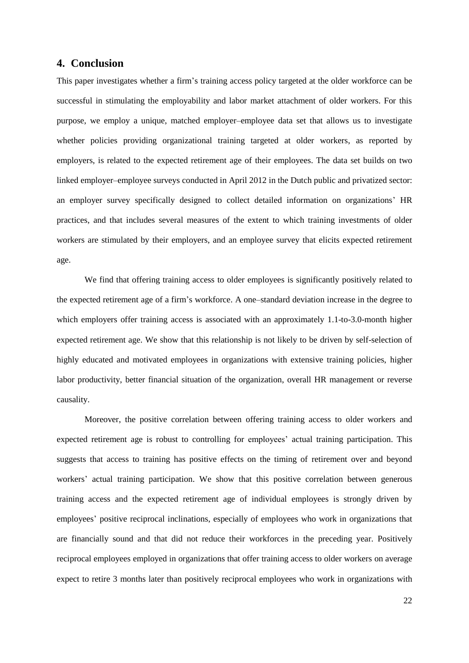### **4. Conclusion**

This paper investigates whether a firm's training access policy targeted at the older workforce can be successful in stimulating the employability and labor market attachment of older workers. For this purpose, we employ a unique, matched employer–employee data set that allows us to investigate whether policies providing organizational training targeted at older workers, as reported by employers, is related to the expected retirement age of their employees. The data set builds on two linked employer–employee surveys conducted in April 2012 in the Dutch public and privatized sector: an employer survey specifically designed to collect detailed information on organizations' HR practices, and that includes several measures of the extent to which training investments of older workers are stimulated by their employers, and an employee survey that elicits expected retirement age.

We find that offering training access to older employees is significantly positively related to the expected retirement age of a firm's workforce. A one–standard deviation increase in the degree to which employers offer training access is associated with an approximately 1.1-to-3.0-month higher expected retirement age. We show that this relationship is not likely to be driven by self-selection of highly educated and motivated employees in organizations with extensive training policies, higher labor productivity, better financial situation of the organization, overall HR management or reverse causality.

Moreover, the positive correlation between offering training access to older workers and expected retirement age is robust to controlling for employees' actual training participation. This suggests that access to training has positive effects on the timing of retirement over and beyond workers' actual training participation. We show that this positive correlation between generous training access and the expected retirement age of individual employees is strongly driven by employees' positive reciprocal inclinations, especially of employees who work in organizations that are financially sound and that did not reduce their workforces in the preceding year. Positively reciprocal employees employed in organizations that offer training access to older workers on average expect to retire 3 months later than positively reciprocal employees who work in organizations with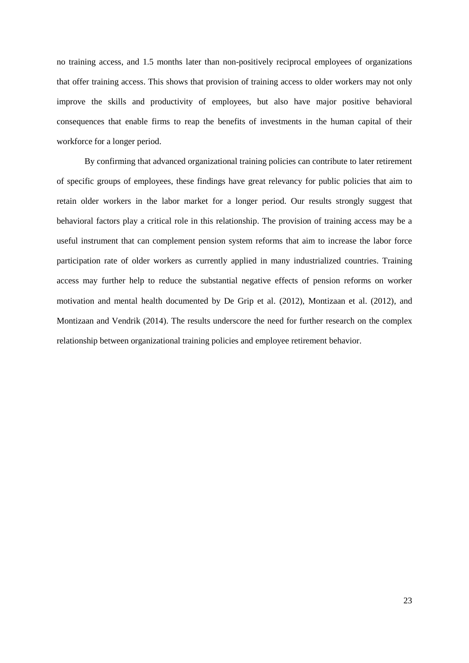no training access, and 1.5 months later than non-positively reciprocal employees of organizations that offer training access. This shows that provision of training access to older workers may not only improve the skills and productivity of employees, but also have major positive behavioral consequences that enable firms to reap the benefits of investments in the human capital of their workforce for a longer period.

By confirming that advanced organizational training policies can contribute to later retirement of specific groups of employees, these findings have great relevancy for public policies that aim to retain older workers in the labor market for a longer period. Our results strongly suggest that behavioral factors play a critical role in this relationship. The provision of training access may be a useful instrument that can complement pension system reforms that aim to increase the labor force participation rate of older workers as currently applied in many industrialized countries. Training access may further help to reduce the substantial negative effects of pension reforms on worker motivation and mental health documented by De Grip et al. (2012), Montizaan et al. (2012), and Montizaan and Vendrik (2014). The results underscore the need for further research on the complex relationship between organizational training policies and employee retirement behavior.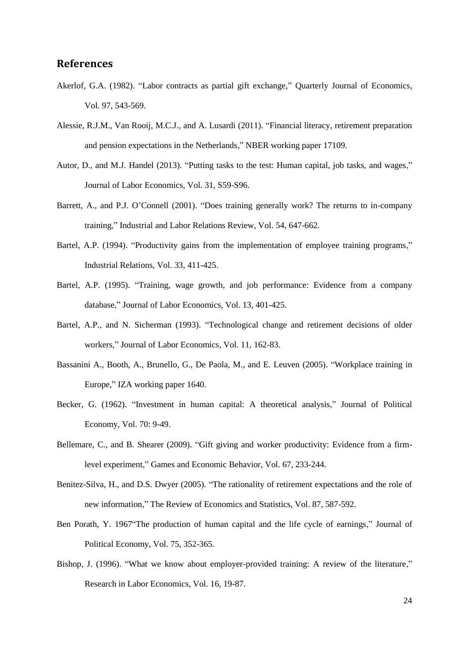## **References**

- Akerlof, G.A. (1982). "Labor contracts as partial gift exchange," Quarterly Journal of Economics, Vol. 97, 543-569.
- Alessie, R.J.M., Van Rooij, M.C.J., and A. Lusardi (2011). ["Financial literacy, retirement preparation](http://ideas.repec.org/p/nbr/nberwo/17109.html)  [and pension expectations in the Netherlands,](http://ideas.repec.org/p/nbr/nberwo/17109.html)" NBER working paper 17109.
- Autor, D., and M.J. Handel (2013). "Putting tasks to the test: Human capital, job tasks, and wages," Journal of Labor Economics, Vol. 31, S59-S96.
- Barrett, A., and P.J. O'Connell (2001). "Does training generally work? The returns to in-company training," Industrial and Labor Relations Review, Vol. 54, 647-662.
- Bartel, A.P. (1994). "Productivity gains from the implementation of employee training programs," Industrial Relations, Vol. 33, 411-425.
- Bartel, A.P. (1995). "Training, wage growth, and job performance: Evidence from a company database," Journal of Labor Economics, Vol. 13, 401-425.
- Bartel, A.P., and N. Sicherman (1993). "Technological change and retirement decisions of older workers," Journal of Labor Economics, Vol. 11, 162-83.
- Bassanini A., Booth, A., Brunello, G., De Paola, M., and E. Leuven (2005). "Workplace training in Europe," IZA working paper 1640.
- Becker, G. (1962). "Investment in human capital: A theoretical analysis," Journal of Political Economy, Vol. 70: 9-49.
- Bellemare, C., and B. Shearer (2009). "Gift giving and worker productivity: Evidence from a firmlevel experiment," Games and Economic Behavior, Vol. 67, 233-244.
- Benitez-Silva, H., and D.S. Dwyer (2005). "The rationality of retirement expectations and the role of new information," The Review of Economics and Statistics, Vol. 87, 587-592.
- Ben Porath, Y. 1967"The production of human capital and the life cycle of earnings," Journal of Political Economy, Vol. 75, 352-365.
- Bishop, J. (1996). "What we know about employer-provided training: A review of the literature," Research in Labor Economics, Vol. 16, 19-87.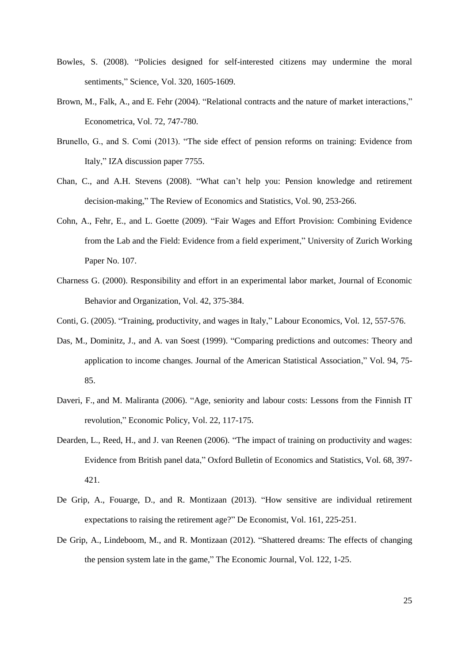- Bowles, S. (2008). "Policies designed for self-interested citizens may undermine the moral sentiments," Science, Vol. 320, 1605-1609.
- Brown, M., Falk, A., and E. Fehr (2004). "Relational contracts and the nature of market interactions," Econometrica, Vol. 72, 747-780.
- Brunello, G., and S. Comi (2013). ["The side effect of pension reforms on training: Evidence from](https://ideas.repec.org/p/iza/izadps/dp7755.html)  [Italy,](https://ideas.repec.org/p/iza/izadps/dp7755.html)" IZA discussion paper 7755.
- Chan, C., and A.H. Stevens (2008). "What can't help you: Pension knowledge and retirement decision-making," The Review of Economics and Statistics, Vol. 90, 253-266.
- Cohn, A., Fehr, E., and L. Goette (2009). "Fair Wages and Effort Provision: Combining Evidence from the Lab and the Field: Evidence from a field experiment," University of Zurich Working Paper No. 107.
- Charness G. (2000). Responsibility and effort in an experimental labor market, Journal of Economic Behavior and Organization, Vol. 42, 375-384.
- Conti, G. (2005). "Training, productivity, and wages in Italy," Labour Economics, Vol. 12, 557-576.
- Das, M., Dominitz, J., and A. van Soest (1999). "Comparing predictions and outcomes: Theory and application to income changes. Journal of the American Statistical Association," Vol. 94, 75- 85.
- Daveri, F., and M. Maliranta (2006). "Age, seniority and labour costs: Lessons from the Finnish IT revolution," Economic Policy, Vol. 22, 117-175.
- Dearden, L., Reed, H., and J. van Reenen (2006). "The impact of training on productivity and wages: Evidence from British panel data," Oxford Bulletin of Economics and Statistics, Vol. 68, 397- 421.
- De Grip, A., Fouarge, D., and R. Montizaan (2013). "How sensitive are individual retirement expectations to raising the retirement age?" De Economist, Vol. 161, 225-251.
- De Grip, A., Lindeboom, M., and R. Montizaan (2012). ["Shattered dreams: The effects of changing](http://ideas.repec.org/a/ecj/econjl/v122y2012i559p1-25.html)  [the pension system late in the game,](http://ideas.repec.org/a/ecj/econjl/v122y2012i559p1-25.html)" The [Economic Journal,](http://ideas.repec.org/s/ecj/econjl.html) Vol. 122, 1-25.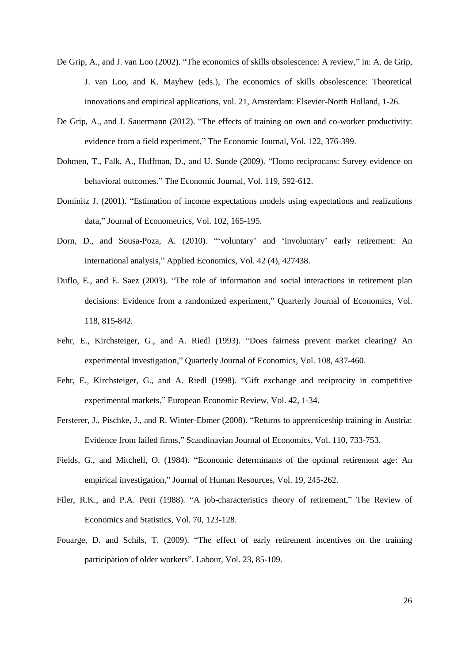- De Grip, A., and J. van Loo (2002). "The economics of skills obsolescence: A review," in: A. de Grip, J. van Loo, and K. Mayhew (eds.), The economics of skills obsolescence: Theoretical innovations and empirical applications, vol. 21, Amsterdam: Elsevier-North Holland, 1-26.
- De Grip, A., and J. Sauermann (2012). "The effects of training on own and co-worker productivity: evidence from a field experiment," The Economic Journal, Vol. 122, 376-399.
- Dohmen, T., Falk, A., Huffman, D., and U. Sunde (2009). "Homo reciprocans: Survey evidence on behavioral outcomes," The Economic Journal, Vol. 119, 592-612.
- Dominitz J. (2001). "Estimation of income expectations models using expectations and realizations data," Journal of Econometrics, Vol. 102, 165-195.
- Dorn, D., and Sousa-Poza, A. (2010). "'voluntary' and 'involuntary' early retirement: An international analysis," Applied Economics, Vol. 42 (4), 427438.
- Duflo, E., and E. Saez (2003). "The role of information and social interactions in retirement plan decisions: Evidence from a randomized experiment," Quarterly Journal of Economics, Vol. 118, 815-842.
- Fehr, E., Kirchsteiger, G., and A. Riedl (1993). "Does fairness prevent market clearing? An experimental investigation," Quarterly Journal of Economics, Vol. 108, 437-460.
- Fehr, E., Kirchsteiger, G., and A. Riedl (1998). "Gift exchange and reciprocity in competitive experimental markets," European Economic Review, Vol. 42, 1-34.
- Fersterer, J., Pischke, J., and R. Winter-Ebmer (2008). "Returns to apprenticeship training in Austria: Evidence from failed firms," Scandinavian Journal of Economics, Vol. 110, 733-753.
- Fields, G., and Mitchell, O. (1984). "Economic determinants of the optimal retirement age: An empirical investigation," Journal of Human Resources, Vol. 19, 245-262.
- Filer, R.K., and P.A. Petri (1988). "A job-characteristics theory of retirement," The Review of Economics and Statistics, Vol. 70, 123-128.
- Fouarge, D. and Schils, T. (2009). "The effect of early retirement incentives on the training participation of older workers". Labour, Vol. 23, 85-109.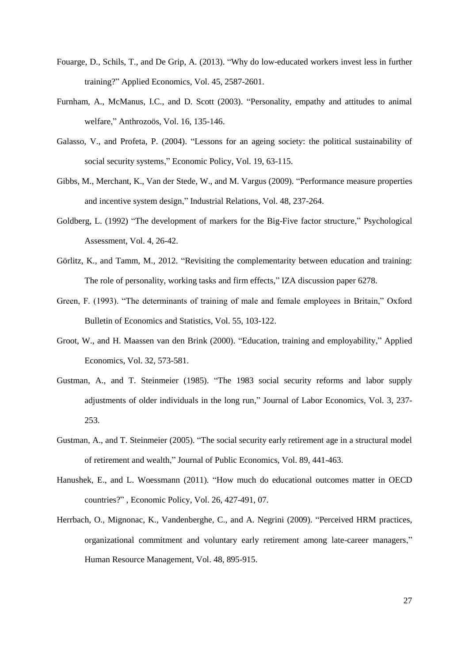- Fouarge, D., Schils, T., and De Grip, A. (2013). "Why do low-educated workers invest less in further training?" Applied Economics, Vol. 45, 2587-2601.
- Furnham, A., McManus, I.C., and D. Scott (2003). "Personality, empathy and attitudes to animal welfare," Anthrozoös, Vol. 16, 135-146.
- Galasso, V., and Profeta, P. (2004). "Lessons for an ageing society: the political sustainability of social security systems," Economic Policy, Vol. 19, 63-115.
- Gibbs, M., Merchant, K., Van der Stede, W., and M. Vargus (2009). "Performance measure properties and incentive system design," Industrial Relations, Vol. 48, 237-264.
- Goldberg, L. (1992) "The development of markers for the Big-Five factor structure," Psychological Assessment, Vol. 4, 26-42.
- Görlitz, K., and Tamm, M., 2012. "Revisiting the complementarity between education and training: The role of personality, working tasks and firm effects," IZA discussion paper 6278.
- Green, F. (1993). "The determinants of training of male and female employees in Britain," Oxford Bulletin of Economics and Statistics, Vol. 55, 103-122.
- Groot, W., and H. Maassen van den Brink (2000). "Education, training and employability," Applied Economics, Vol. 32, 573-581.
- Gustman, A., and T. Steinmeier (1985). "The 1983 social security reforms and labor supply adjustments of older individuals in the long run," Journal of Labor Economics, Vol. 3, 237- 253.
- Gustman, A., and T. Steinmeier (2005). "The social security early retirement age in a structural model of retirement and wealth," Journal of Public Economics, Vol. 89, 441-463.
- Hanushek, E., and L. Woessmann (2011). "How much do educational outcomes matter in OECD countries?" , [Economic Policy,](https://ideas.repec.org/s/bla/ecpoli.html) Vol. 26, 427-491, 07.
- Herrbach, O., Mignonac, K., Vandenberghe, C., and A. Negrini (2009). "Perceived HRM practices, organizational commitment and voluntary early retirement among late-career managers," Human Resource Management, Vol. 48, 895-915.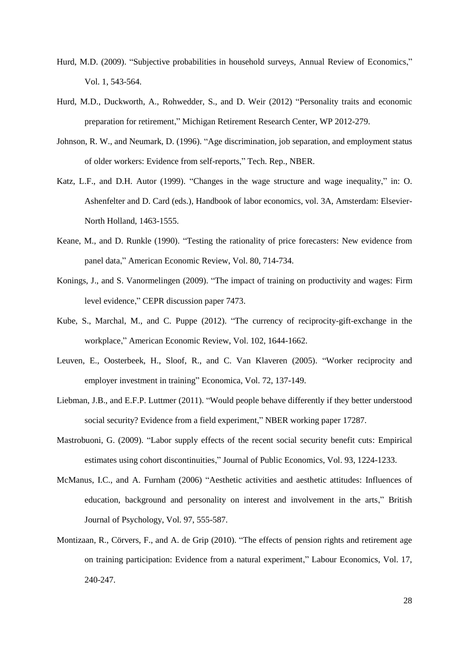- Hurd, M.D. (2009). "Subjective probabilities in household surveys, Annual Review of Economics," Vol. 1, 543-564.
- Hurd, M.D., Duckworth, A., Rohwedder, S., and D. Weir (2012) "Personality traits and economic preparation for retirement," Michigan Retirement Research Center, WP 2012-279.
- Johnson, R. W., and Neumark, D. (1996). "Age discrimination, job separation, and employment status of older workers: Evidence from self-reports," Tech. Rep., NBER.
- Katz, L.F., and D.H. Autor (1999). "Changes in the wage structure and wage inequality," in: O. Ashenfelter and D. Card (eds.), Handbook of labor economics, vol. 3A, Amsterdam: Elsevier-North Holland, 1463-1555.
- Keane, M., and D. Runkle (1990). "Testing the rationality of price forecasters: New evidence from panel data," American Economic Review, Vol. 80, 714-734.
- Konings, J., and S. Vanormelingen (2009). "The impact of training on productivity and wages: Firm level evidence," CEPR discussion paper 7473.
- Kube, S., Marchal, M., and C. Puppe (2012). "The currency of reciprocity-gift-exchange in the workplace," American Economic Review, Vol. 102, 1644-1662.
- Leuven, E., Oosterbeek, H., Sloof, R., and C. Van Klaveren (2005). "Worker reciprocity and employer investment in training" Economica, Vol. 72, 137-149.
- Liebman, J.B., and E.F.P. Luttmer (2011). "Would people behave differently if they better understood social security? Evidence from a field experiment," NBER working paper 17287.
- Mastrobuoni, G. (2009). "Labor supply effects of the recent social security benefit cuts: Empirical estimates using cohort discontinuities," Journal of Public Economics, Vol. 93, 1224-1233.
- McManus, I.C., and A. Furnham (2006) "Aesthetic activities and aesthetic attitudes: Influences of education, background and personality on interest and involvement in the arts," British Journal of Psychology, Vol. 97, 555-587.
- Montizaan, R., Cörvers, F., and A. de Grip (2010). "The effects of pension rights and retirement age on training participation: Evidence from a natural experiment," Labour Economics, Vol. 17, 240-247.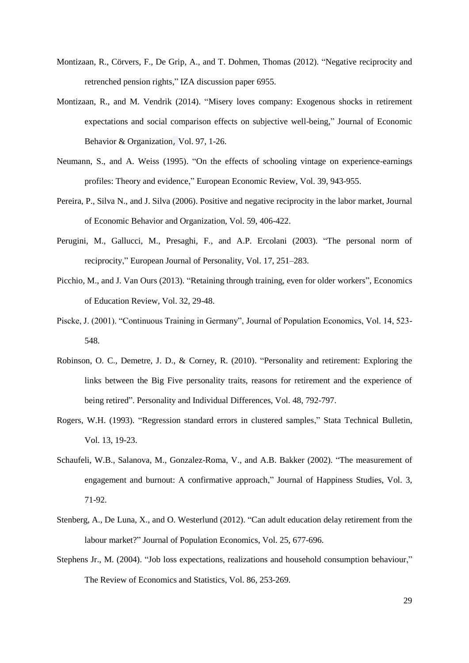- Montizaan, R., Cörvers, F., De Grip, A., and T. Dohmen, Thomas (2012). ["Negative reciprocity and](http://ideas.repec.org/p/iza/izadps/dp6955.html)  [retrenched pension rights,](http://ideas.repec.org/p/iza/izadps/dp6955.html)" IZA discussion paper 6955.
- Montizaan, R., and M. Vendrik (2014). ["Misery loves company: Exogenous shocks in retirement](http://ideas.repec.org/a/eee/jeborg/v97y2014icp1-26.html)  [expectations and social comparison effects on subjective well-being,](http://ideas.repec.org/a/eee/jeborg/v97y2014icp1-26.html)" [Journal of Economic](http://ideas.repec.org/s/eee/jeborg.html)  Behavior [& Organization](http://ideas.repec.org/s/eee/jeborg.html), Vol. 97, 1-26.
- Neumann, S., and A. Weiss (1995). "On the effects of schooling vintage on experience-earnings profiles: Theory and evidence," European Economic Review, Vol. 39, 943-955.
- Pereira, P., Silva N., and J. Silva (2006). Positive and negative reciprocity in the labor market, Journal of Economic Behavior and Organization, Vol. 59, 406-422.
- Perugini, M., Gallucci, M., Presaghi, F., and A.P. Ercolani (2003). "The personal norm of reciprocity," European Journal of Personality, Vol. 17, 251–283.
- Picchio, M., and J. Van Ours (2013). "Retaining through training, even for older workers", Economics of Education Review, Vol. 32, 29-48.
- Piscke, J. (2001). "Continuous Training in Germany", Journal of Population Economics, Vol. 14, 523- 548.
- Robinson, O. C., Demetre, J. D., & Corney, R. (2010). "Personality and retirement: Exploring the links between the Big Five personality traits, reasons for retirement and the experience of being retired". Personality and Individual Differences, Vol. 48, 792-797.
- Rogers, W.H. (1993). "Regression standard errors in clustered samples," Stata Technical Bulletin, Vol. 13, 19-23.
- Schaufeli, W.B., Salanova, M., Gonzalez-Roma, V., and A.B. Bakker (2002). "The measurement of engagement and burnout: A confirmative approach," Journal of Happiness Studies, Vol. 3, 71-92.
- Stenberg, A., De Luna, X., and O. Westerlund (2012). "Can adult education delay retirement from the labour market?" Journal of Population Economics, Vol. 25, 677-696.
- Stephens Jr., M. (2004). "Job loss expectations, realizations and household consumption behaviour," The Review of Economics and Statistics, Vol. 86, 253-269.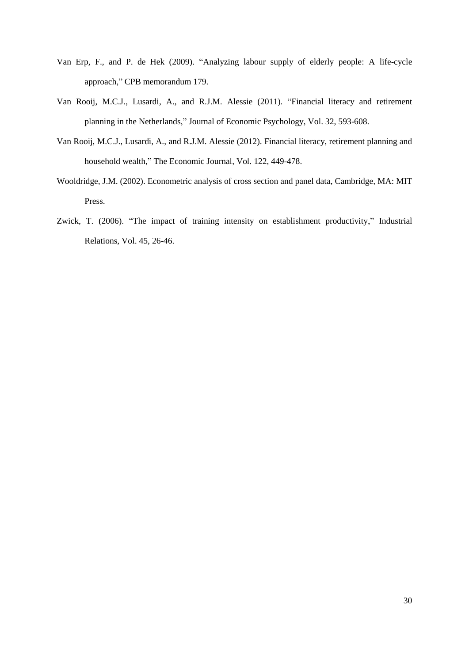- Van Erp, F., and P. de Hek (2009). "Analyzing labour supply of elderly people: A life-cycle approach," CPB memorandum 179.
- Van Rooij, M.C.J., Lusardi, A., and R.J.M. Alessie (2011). ["Financial literacy and retirement](http://ideas.repec.org/a/eee/joepsy/v32y2011i4p593-608.html)  [planning in the Netherlands,](http://ideas.repec.org/a/eee/joepsy/v32y2011i4p593-608.html)" [Journal of Economic Psychology,](http://ideas.repec.org/s/eee/joepsy.html) Vol. 32, 593-608.
- Van Rooij, M.C.J., Lusardi, A., and R.J.M. Alessie (2012). [Financial literacy, retirement planning and](http://ideas.repec.org/a/ecj/econjl/v122y2012i560p449-478.html)  [household wealth,](http://ideas.repec.org/a/ecj/econjl/v122y2012i560p449-478.html)" The [Economic Journal,](http://ideas.repec.org/s/ecj/econjl.html) Vol. 122, 449-478.
- Wooldridge, J.M. (2002). Econometric analysis of cross section and panel data, Cambridge, MA: MIT Press.
- Zwick, T. (2006). "The impact of training intensity on establishment productivity," Industrial Relations, Vol. 45, 26-46.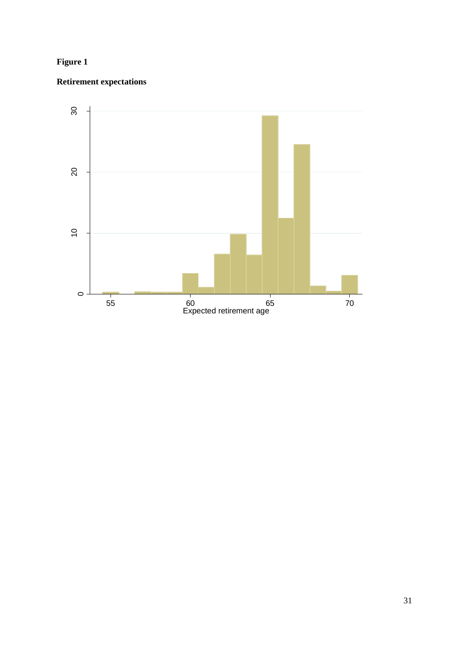# **Figure 1**

# **Retirement expectations**

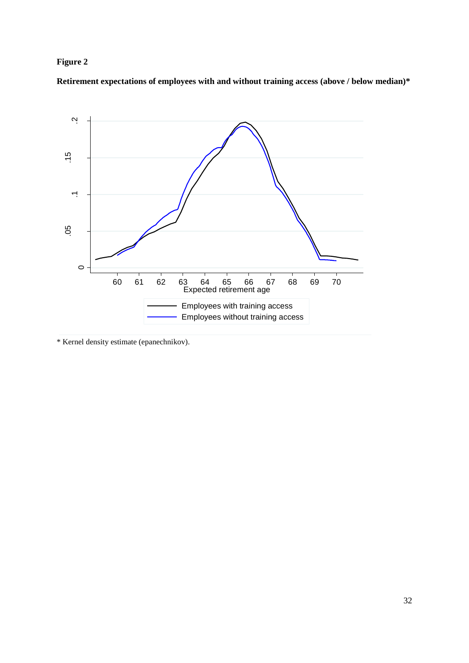# **Figure 2**

**Retirement expectations of employees with and without training access (above / below median)\***



\* Kernel density estimate (epanechnikov).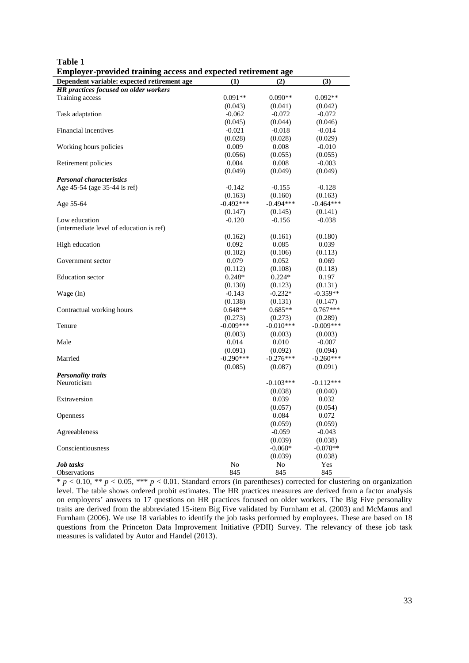| Employer-provided training access and expected retirement age |             |             |             |
|---------------------------------------------------------------|-------------|-------------|-------------|
| Dependent variable: expected retirement age                   | (1)         | (2)         | (3)         |
| <b>HR</b> practices focused on older workers                  |             |             |             |
| Training access                                               | $0.091**$   | $0.090**$   | $0.092**$   |
|                                                               | (0.043)     | (0.041)     | (0.042)     |
| Task adaptation                                               | $-0.062$    | $-0.072$    | $-0.072$    |
|                                                               | (0.045)     | (0.044)     | (0.046)     |
| Financial incentives                                          | $-0.021$    | $-0.018$    | $-0.014$    |
|                                                               | (0.028)     | (0.028)     | (0.029)     |
| Working hours policies                                        | 0.009       | 0.008       | $-0.010$    |
|                                                               | (0.056)     | (0.055)     | (0.055)     |
| Retirement policies                                           | 0.004       | 0.008       | $-0.003$    |
|                                                               | (0.049)     | (0.049)     | (0.049)     |
| <b>Personal characteristics</b>                               |             |             |             |
| Age 45-54 (age 35-44 is ref)                                  | $-0.142$    | $-0.155$    | $-0.128$    |
|                                                               | (0.163)     | (0.160)     | (0.163)     |
| Age 55-64                                                     | $-0.492***$ | $-0.494***$ | $-0.464***$ |
|                                                               | (0.147)     | (0.145)     | (0.141)     |
| Low education                                                 | $-0.120$    | $-0.156$    | $-0.038$    |
| (intermediate level of education is ref)                      |             |             |             |
|                                                               | (0.162)     | (0.161)     | (0.180)     |
| High education                                                | 0.092       | 0.085       | 0.039       |
|                                                               | (0.102)     | (0.106)     | (0.113)     |
| Government sector                                             | 0.079       | 0.052       | 0.069       |
|                                                               | (0.112)     | (0.108)     | (0.118)     |
| <b>Education</b> sector                                       | $0.248*$    | $0.224*$    | 0.197       |
|                                                               | (0.130)     | (0.123)     | (0.131)     |
| Wage (ln)                                                     | $-0.143$    | $-0.232*$   | $-0.359**$  |
|                                                               | (0.138)     | (0.131)     | (0.147)     |
| Contractual working hours                                     | $0.648**$   | $0.685**$   | $0.767***$  |
|                                                               | (0.273)     | (0.273)     | (0.289)     |
| Tenure                                                        | $-0.009***$ | $-0.010***$ | $-0.009***$ |
|                                                               | (0.003)     | (0.003)     |             |
| Male                                                          |             |             | (0.003)     |
|                                                               | 0.014       | 0.010       | $-0.007$    |
|                                                               | (0.091)     | (0.092)     | (0.094)     |
| Married                                                       | $-0.290***$ | $-0.276***$ | $-0.260***$ |
|                                                               | (0.085)     | (0.087)     | (0.091)     |
| <b>Personality traits</b>                                     |             |             |             |
| Neuroticism                                                   |             | $-0.103***$ | $-0.112***$ |
|                                                               |             | (0.038)     | (0.040)     |
| Extraversion                                                  |             | 0.039       | 0.032       |
|                                                               |             | (0.057)     | (0.054)     |
| <b>Openness</b>                                               |             | 0.084       | 0.072       |
|                                                               |             | (0.059)     | (0.059)     |
| Agreeableness                                                 |             | $-0.059$    | $-0.043$    |
|                                                               |             | (0.039)     | (0.038)     |
| Conscientiousness                                             |             | $-0.068*$   | $-0.078**$  |
|                                                               |             | (0.039)     | (0.038)     |
| <b>Job</b> tasks                                              | No          | No          | Yes         |
| <b>Observations</b>                                           | 845         | 845         | 845         |

| Table 1                                                       |
|---------------------------------------------------------------|
| Employer-provided training access and expected retirement age |

 $p < 0.10$ , \*\*  $p < 0.05$ , \*\*  $p < 0.01$ . Standard errors (in parentheses) corrected for clustering on organization level. The table shows ordered probit estimates. The HR practices measures are derived from a factor analysis on employers' answers to 17 questions on HR practices focused on older workers. The Big Five personality traits are derived from the abbreviated 15-item Big Five validated by Furnham et al. (2003) and McManus and Furnham (2006). We use 18 variables to identify the job tasks performed by employees. These are based on 18 questions from the Princeton Data Improvement Initiative (PDII) Survey. The relevancy of these job task measures is validated by Autor and Handel (2013).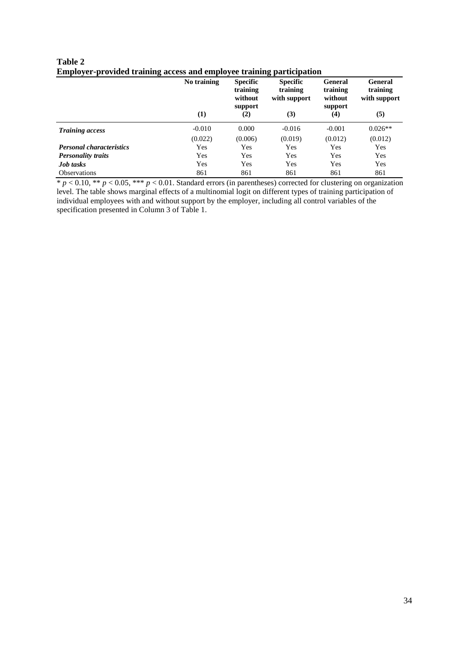| Table 2                                                                      |
|------------------------------------------------------------------------------|
| <b>Employer-provided training access and employee training participation</b> |

|                                 | No training | <b>Specific</b><br>training<br>without | <b>Specific</b><br>training<br>with support | <b>General</b><br>training<br>without | <b>General</b><br>training<br>with support |
|---------------------------------|-------------|----------------------------------------|---------------------------------------------|---------------------------------------|--------------------------------------------|
|                                 | (1)         | support<br>(2)                         | (3)                                         | support<br>(4)                        | (5)                                        |
| <b>Training access</b>          | $-0.010$    | 0.000                                  | $-0.016$                                    | $-0.001$                              | $0.026**$                                  |
|                                 | (0.022)     | (0.006)                                | (0.019)                                     | (0.012)                               | (0.012)                                    |
| <b>Personal characteristics</b> | Yes         | Yes                                    | Yes                                         | Yes                                   | Yes                                        |
| <b>Personality traits</b>       | Yes         | Yes                                    | Yes                                         | Yes                                   | Yes                                        |
| <b>Job</b> tasks                | Yes         | Yes                                    | Yes                                         | Yes                                   | Yes                                        |
| <b>Observations</b>             | 861         | 861                                    | 861                                         | 861                                   | 861                                        |

\* *p* < 0.10, \*\* *p* < 0.05, \*\*\* *p* < 0.01. Standard errors (in parentheses) corrected for clustering on organization level. The table shows marginal effects of a multinomial logit on different types of training participation of individual employees with and without support by the employer, including all control variables of the specification presented in Column 3 of Table 1.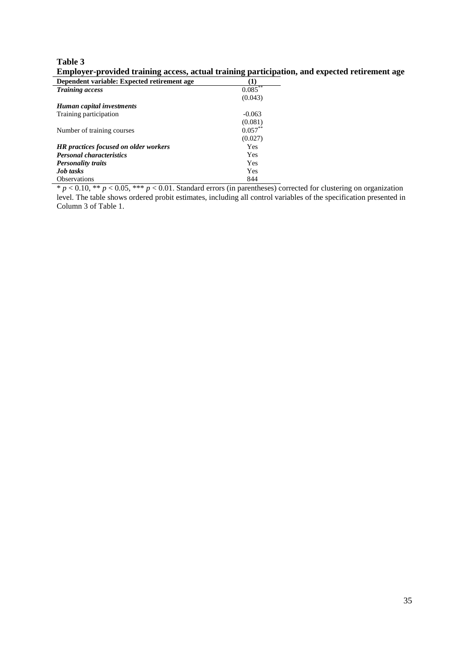# **Table 3 Employer-provided training access, actual training participation, and expected retirement age**

| Dependent variable: Expected retirement age  |            |
|----------------------------------------------|------------|
| <b>Training access</b>                       | $0.085***$ |
|                                              | (0.043)    |
| Human capital investments                    |            |
| Training participation                       | $-0.063$   |
|                                              | (0.081)    |
| Number of training courses                   | $0.057***$ |
|                                              | (0.027)    |
| <b>HR</b> practices focused on older workers | Yes        |
| <b>Personal characteristics</b>              | Yes        |
| <b>Personality traits</b>                    | Yes        |
| <b>Job</b> tasks                             | Yes        |
| <b>Observations</b>                          | 844        |

\* *p* < 0.10, \*\* *p* < 0.05, \*\*\* *p* < 0.01. Standard errors (in parentheses) corrected for clustering on organization level. The table shows ordered probit estimates, including all control variables of the specification presented in Column 3 of Table 1.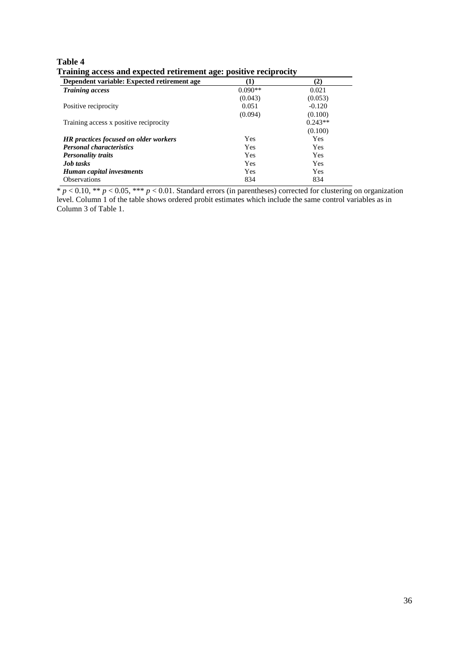| Table 4                                                           |  |
|-------------------------------------------------------------------|--|
| Training access and expected retirement age: positive reciprocity |  |

| ິ<br>Dependent variable: Expected retirement age | л.         | (2)       |
|--------------------------------------------------|------------|-----------|
| <b>Training access</b>                           | $0.090**$  | 0.021     |
|                                                  | (0.043)    | (0.053)   |
| Positive reciprocity                             | 0.051      | $-0.120$  |
|                                                  | (0.094)    | (0.100)   |
| Training access x positive reciprocity           |            | $0.243**$ |
|                                                  |            | (0.100)   |
| <b>HR</b> practices focused on older workers     | Yes        | Yes       |
| <b>Personal characteristics</b>                  | Yes        | Yes       |
| <b>Personality traits</b>                        | <b>Yes</b> | Yes       |
| <b>Job</b> tasks                                 | Yes        | Yes       |
| Human capital investments                        | Yes        | Yes       |
| <b>Observations</b>                              | 834        | 834       |

\* *p* < 0.10, \*\* *p* < 0.05, \*\*\* *p* < 0.01. Standard errors (in parentheses) corrected for clustering on organization level. Column 1 of the table shows ordered probit estimates which include the same control variables as in Column 3 of Table 1.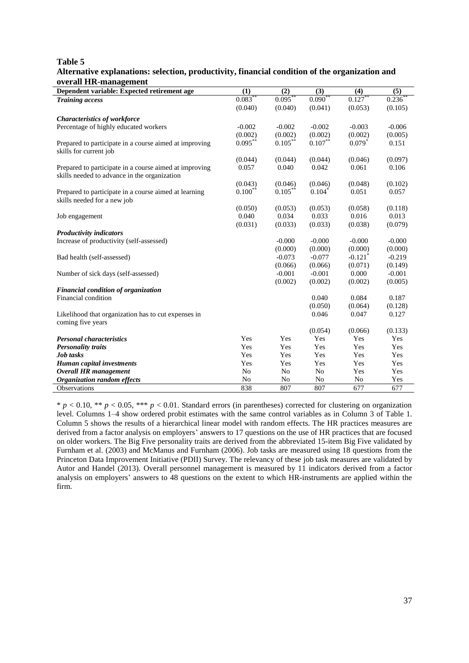**Table 5**

#### **Alternative explanations: selection, productivity, financial condition of the organization and overall HR-management**

| Dependent variable: Expected retirement age            | (1)            | (2)            | (3)            | (4)                   | (5)       |
|--------------------------------------------------------|----------------|----------------|----------------|-----------------------|-----------|
| <b>Training access</b>                                 | 0.083          | $0.095***$     | $0.090^{*}$    | 0.127                 | $0.236^*$ |
|                                                        | (0.040)        | (0.040)        | (0.041)        | (0.053)               | (0.105)   |
| <b>Characteristics of workforce</b>                    |                |                |                |                       |           |
| Percentage of highly educated workers                  | $-0.002$       | $-0.002$       | $-0.002$       | $-0.003$              | $-0.006$  |
|                                                        | (0.002)        | (0.002)        | (0.002)        | (0.002)               | (0.005)   |
| Prepared to participate in a course aimed at improving | $0.095***$     | $0.105***$     | $0.107***$     | $0.079*$              | 0.151     |
| skills for current job                                 |                |                |                |                       |           |
|                                                        | (0.044)        | (0.044)        | (0.044)        | (0.046)               | (0.097)   |
| Prepared to participate in a course aimed at improving | 0.057          | 0.040          | 0.042          | 0.061                 | 0.106     |
| skills needed to advance in the organization           |                |                |                |                       |           |
|                                                        | (0.043)        | (0.046)        | (0.046)        | (0.048)               | (0.102)   |
| Prepared to participate in a course aimed at learning  | $0.100***$     | $0.105***$     | $0.104*$       | 0.051                 | 0.057     |
| skills needed for a new job                            |                |                |                |                       |           |
|                                                        | (0.050)        | (0.053)        | (0.053)        | (0.058)               | (0.118)   |
| Job engagement                                         | 0.040          | 0.034          | 0.033          | 0.016                 | 0.013     |
|                                                        | (0.031)        | (0.033)        | (0.033)        | (0.038)               | (0.079)   |
| <b>Productivity indicators</b>                         |                |                |                |                       |           |
| Increase of productivity (self-assessed)               |                | $-0.000$       | $-0.000$       | $-0.000$              | $-0.000$  |
|                                                        |                | (0.000)        | (0.000)        | (0.000)               | (0.000)   |
| Bad health (self-assessed)                             |                | $-0.073$       | $-0.077$       | $-0.121$ <sup>*</sup> | $-0.219$  |
|                                                        |                | (0.066)        | (0.066)        | (0.071)               | (0.149)   |
| Number of sick days (self-assessed)                    |                | $-0.001$       | $-0.001$       | 0.000                 | $-0.001$  |
|                                                        |                | (0.002)        | (0.002)        | (0.002)               | (0.005)   |
| Financial condition of organization                    |                |                |                |                       |           |
| Financial condition                                    |                |                | 0.040          | 0.084                 | 0.187     |
|                                                        |                |                | (0.050)        | (0.064)               | (0.128)   |
| Likelihood that organization has to cut expenses in    |                |                | 0.046          | 0.047                 | 0.127     |
| coming five years                                      |                |                |                |                       |           |
|                                                        |                |                | (0.054)        | (0.066)               | (0.133)   |
| <b>Personal characteristics</b>                        | Yes            | Yes            | Yes            | Yes                   | Yes       |
| <b>Personality traits</b>                              | Yes            | Yes            | Yes            | Yes                   | Yes       |
| Job tasks                                              | Yes            | Yes            | Yes            | Yes                   | Yes       |
| <b>Human capital investments</b>                       | Yes            | Yes            | Yes            | Yes                   | Yes       |
| <b>Overall HR</b> management                           | N <sub>0</sub> | N <sub>0</sub> | N <sub>o</sub> | Yes                   | Yes       |
| Organization random effects                            | No             | N <sub>o</sub> | No             | N <sub>0</sub>        | Yes       |
| Observations                                           | 838            | 807            | 807            | 677                   | 677       |

 $* p < 0.10, ** p < 0.05, *** p < 0.01$ . Standard errors (in parentheses) corrected for clustering on organization level. Columns 1–4 show ordered probit estimates with the same control variables as in Column 3 of Table 1. Column 5 shows the results of a hierarchical linear model with random effects. The HR practices measures are derived from a factor analysis on employers' answers to 17 questions on the use of HR practices that are focused on older workers. The Big Five personality traits are derived from the abbreviated 15-item Big Five validated by Furnham et al. (2003) and McManus and Furnham (2006). Job tasks are measured using 18 questions from the Princeton Data Improvement Initiative (PDII) Survey. The relevancy of these job task measures are validated by Autor and Handel (2013). Overall personnel management is measured by 11 indicators derived from a factor analysis on employers' answers to 48 questions on the extent to which HR-instruments are applied within the firm.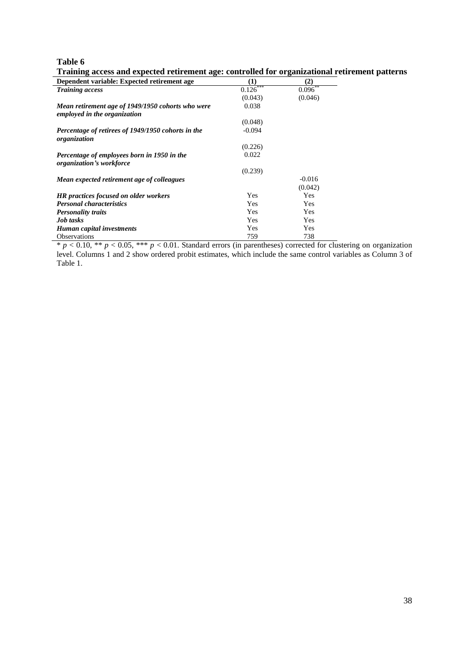**Table 6**

| Dependent variable: Expected retirement age                                       | (1)        | $\rm(2)$     |  |
|-----------------------------------------------------------------------------------|------------|--------------|--|
| <b>Training access</b>                                                            | $0.126***$ | $0.096^{**}$ |  |
|                                                                                   | (0.043)    | (0.046)      |  |
| Mean retirement age of 1949/1950 cohorts who were<br>employed in the organization | 0.038      |              |  |
|                                                                                   | (0.048)    |              |  |
| Percentage of retirees of 1949/1950 cohorts in the<br>organization                | $-0.094$   |              |  |
|                                                                                   | (0.226)    |              |  |
| Percentage of employees born in 1950 in the<br>organization's workforce           | 0.022      |              |  |
|                                                                                   | (0.239)    |              |  |
| Mean expected retirement age of colleagues                                        |            | $-0.016$     |  |
|                                                                                   |            | (0.042)      |  |
| <b>HR</b> practices focused on older workers                                      | <b>Yes</b> | <b>Yes</b>   |  |
| <b>Personal characteristics</b>                                                   | Yes        | Yes          |  |
| <b>Personality traits</b>                                                         | <b>Yes</b> | Yes          |  |
| <b>Job</b> tasks                                                                  | Yes        | Yes          |  |
| Human capital investments                                                         | Yes        | Yes          |  |
| <b>Observations</b>                                                               | 759        | 738          |  |

**Training access and expected retirement age: controlled for organizational retirement patterns** 

 $* p < 0.10$ ,  $** p < 0.05$ ,  $*** p < 0.01$ . Standard errors (in parentheses) corrected for clustering on organization level. Columns 1 and 2 show ordered probit estimates, which include the same control variables as Column 3 of Table 1.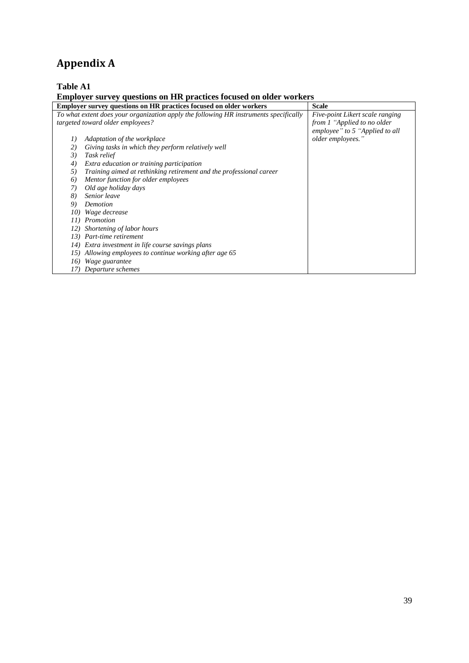# **Appendix A**

# **Table A1**

# **Employer survey questions on HR practices focused on older workers**

|     | <b>Employer survey questions on HR practices focused on older workers</b>             | <b>Scale</b>                    |
|-----|---------------------------------------------------------------------------------------|---------------------------------|
|     | To what extent does your organization apply the following HR instruments specifically | Five-point Likert scale ranging |
|     | targeted toward older employees?                                                      | from 1 "Applied to no older     |
|     |                                                                                       | employee" to 5 "Applied to all  |
| I)  | Adaptation of the workplace                                                           | older employees."               |
| 2)  | Giving tasks in which they perform relatively well                                    |                                 |
| 3)  | Task relief                                                                           |                                 |
| 4)  | Extra education or training participation                                             |                                 |
| 5)  | Training aimed at rethinking retirement and the professional career                   |                                 |
| 6)  | Mentor function for older employees                                                   |                                 |
| 7)  | Old age holiday days                                                                  |                                 |
| 8)  | Senior leave                                                                          |                                 |
| 9)  | Demotion                                                                              |                                 |
| 10) | Wage decrease                                                                         |                                 |
| II  | Promotion                                                                             |                                 |
| 12) | Shortening of labor hours                                                             |                                 |
| 13) | Part-time retirement                                                                  |                                 |
| 14) | Extra investment in life course savings plans                                         |                                 |
| 15) | Allowing employees to continue working after age 65                                   |                                 |
| 16) | Wage guarantee                                                                        |                                 |
| 17. | Departure schemes                                                                     |                                 |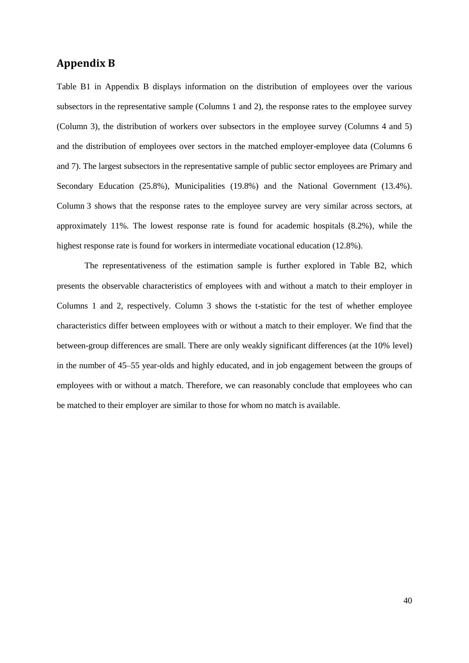### **Appendix B**

Table B1 in Appendix B displays information on the distribution of employees over the various subsectors in the representative sample (Columns 1 and 2), the response rates to the employee survey (Column 3), the distribution of workers over subsectors in the employee survey (Columns 4 and 5) and the distribution of employees over sectors in the matched employer-employee data (Columns 6 and 7). The largest subsectors in the representative sample of public sector employees are Primary and Secondary Education (25.8%), Municipalities (19.8%) and the National Government (13.4%). Column 3 shows that the response rates to the employee survey are very similar across sectors, at approximately 11%. The lowest response rate is found for academic hospitals (8.2%), while the highest response rate is found for workers in intermediate vocational education (12.8%).

The representativeness of the estimation sample is further explored in Table B2, which presents the observable characteristics of employees with and without a match to their employer in Columns 1 and 2, respectively. Column 3 shows the t-statistic for the test of whether employee characteristics differ between employees with or without a match to their employer. We find that the between-group differences are small. There are only weakly significant differences (at the 10% level) in the number of 45–55 year-olds and highly educated, and in job engagement between the groups of employees with or without a match. Therefore, we can reasonably conclude that employees who can be matched to their employer are similar to those for whom no match is available.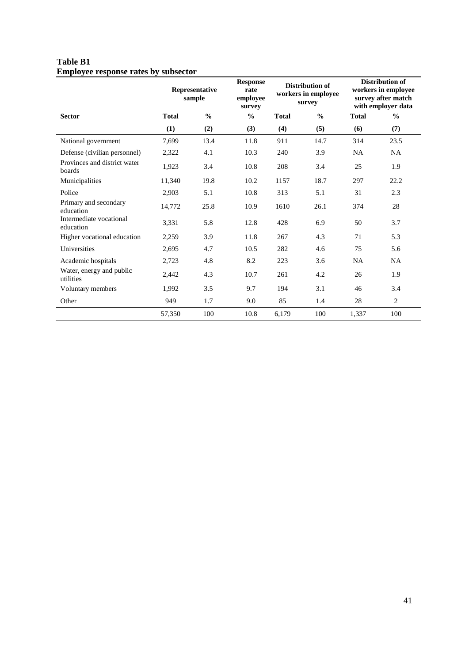### **Table B1 Employee response rates by subsector**

|                                        |              | Representative<br>sample | <b>Response</b><br>Distribution of<br>rate<br>workers in employee<br>employee<br>survey<br>survey |              | <b>Distribution of</b><br>workers in employee<br>survey after match<br>with employer data |              |                |
|----------------------------------------|--------------|--------------------------|---------------------------------------------------------------------------------------------------|--------------|-------------------------------------------------------------------------------------------|--------------|----------------|
| <b>Sector</b>                          | <b>Total</b> | $\frac{0}{0}$            | $\frac{0}{0}$                                                                                     | <b>Total</b> | $\frac{0}{0}$                                                                             | <b>Total</b> | $\frac{0}{0}$  |
|                                        | (1)          | (2)                      | (3)                                                                                               | (4)          | (5)                                                                                       | (6)          | (7)            |
| National government                    | 7,699        | 13.4                     | 11.8                                                                                              | 911          | 14.7                                                                                      | 314          | 23.5           |
| Defense (civilian personnel)           | 2,322        | 4.1                      | 10.3                                                                                              | 240          | 3.9                                                                                       | <b>NA</b>    | <b>NA</b>      |
| Provinces and district water<br>boards | 1,923        | 3.4                      | 10.8                                                                                              | 208          | 3.4                                                                                       | 25           | 1.9            |
| Municipalities                         | 11,340       | 19.8                     | 10.2                                                                                              | 1157         | 18.7                                                                                      | 297          | 22.2           |
| Police                                 | 2,903        | 5.1                      | 10.8                                                                                              | 313          | 5.1                                                                                       | 31           | 2.3            |
| Primary and secondary<br>education     | 14,772       | 25.8                     | 10.9                                                                                              | 1610         | 26.1                                                                                      | 374          | 28             |
| Intermediate vocational<br>education   | 3,331        | 5.8                      | 12.8                                                                                              | 428          | 6.9                                                                                       | 50           | 3.7            |
| Higher vocational education            | 2,259        | 3.9                      | 11.8                                                                                              | 267          | 4.3                                                                                       | 71           | 5.3            |
| Universities                           | 2,695        | 4.7                      | 10.5                                                                                              | 282          | 4.6                                                                                       | 75           | 5.6            |
| Academic hospitals                     | 2,723        | 4.8                      | 8.2                                                                                               | 223          | 3.6                                                                                       | <b>NA</b>    | NA             |
| Water, energy and public<br>utilities  | 2,442        | 4.3                      | 10.7                                                                                              | 261          | 4.2                                                                                       | 26           | 1.9            |
| Voluntary members                      | 1,992        | 3.5                      | 9.7                                                                                               | 194          | 3.1                                                                                       | 46           | 3.4            |
| Other                                  | 949          | 1.7                      | 9.0                                                                                               | 85           | 1.4                                                                                       | 28           | $\overline{c}$ |
|                                        | 57,350       | 100                      | 10.8                                                                                              | 6,179        | 100                                                                                       | 1,337        | 100            |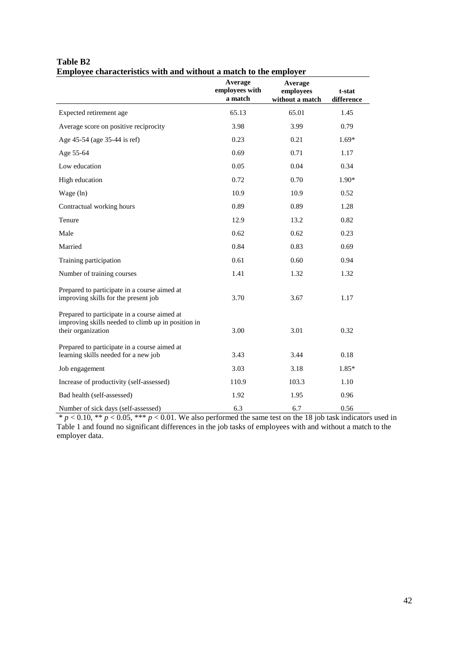|                                                                                                                          | Average<br>employees with<br>a match | Average<br>employees<br>without a match | t-stat<br>difference |
|--------------------------------------------------------------------------------------------------------------------------|--------------------------------------|-----------------------------------------|----------------------|
| Expected retirement age                                                                                                  | 65.13                                | 65.01                                   | 1.45                 |
| Average score on positive reciprocity                                                                                    | 3.98                                 | 3.99                                    | 0.79                 |
| Age 45-54 (age 35-44 is ref)                                                                                             | 0.23                                 | 0.21                                    | $1.69*$              |
| Age 55-64                                                                                                                | 0.69                                 | 0.71                                    | 1.17                 |
| Low education                                                                                                            | 0.05                                 | 0.04                                    | 0.34                 |
| High education                                                                                                           | 0.72                                 | 0.70                                    | $1.90*$              |
| Wage $(ln)$                                                                                                              | 10.9                                 | 10.9                                    | 0.52                 |
| Contractual working hours                                                                                                | 0.89                                 | 0.89                                    | 1.28                 |
| Tenure                                                                                                                   | 12.9                                 | 13.2                                    | 0.82                 |
| Male                                                                                                                     | 0.62                                 | 0.62                                    | 0.23                 |
| Married                                                                                                                  | 0.84                                 | 0.83                                    | 0.69                 |
| Training participation                                                                                                   | 0.61                                 | 0.60                                    | 0.94                 |
| Number of training courses                                                                                               | 1.41                                 | 1.32                                    | 1.32                 |
| Prepared to participate in a course aimed at<br>improving skills for the present job                                     | 3.70                                 | 3.67                                    | 1.17                 |
| Prepared to participate in a course aimed at<br>improving skills needed to climb up in position in<br>their organization | 3.00                                 | 3.01                                    | 0.32                 |
| Prepared to participate in a course aimed at<br>learning skills needed for a new job                                     | 3.43                                 | 3.44                                    | 0.18                 |
| Job engagement                                                                                                           | 3.03                                 | 3.18                                    | $1.85*$              |
| Increase of productivity (self-assessed)                                                                                 | 110.9                                | 103.3                                   | 1.10                 |
| Bad health (self-assessed)                                                                                               | 1.92                                 | 1.95                                    | 0.96                 |
|                                                                                                                          |                                      |                                         |                      |

#### **Table B2 Employee characteristics with and without a match to the employer**

Number of sick days (self-assessed) 6.3 6.7 6.7 6.56  $* p < 0.10, ** p < 0.05, *** p < 0.01$ . We also performed the same test on the 18 job task indicators used in Table 1 and found no significant differences in the job tasks of employees with and without a match to the employer data.